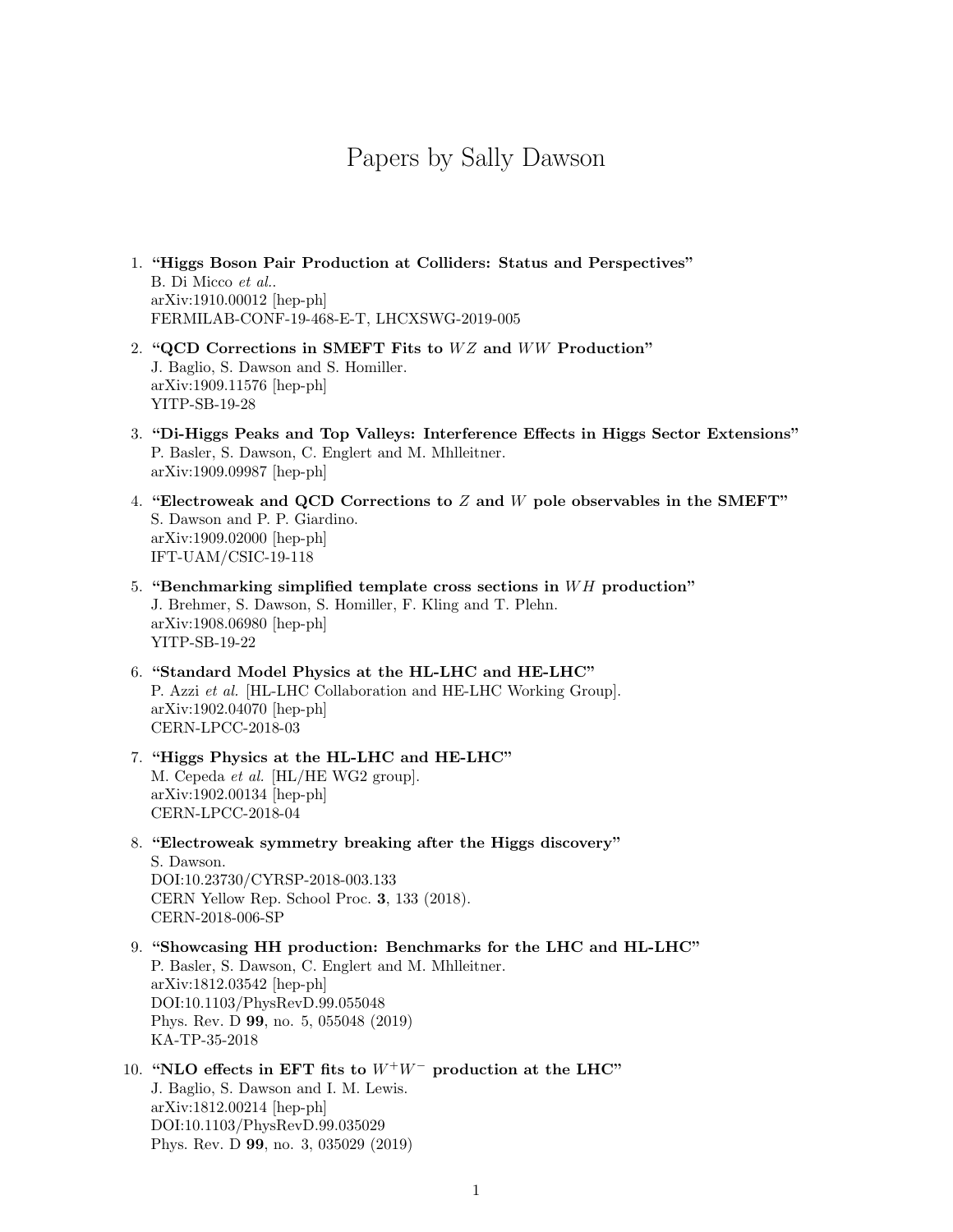# Papers by Sally Dawson

- 1. "Higgs Boson Pair Production at Colliders: Status and Perspectives" B. Di Micco et al.. arXiv:1910.00012 [hep-ph] FERMILAB-CONF-19-468-E-T, LHCXSWG-2019-005
- 2. "QCD Corrections in SMEFT Fits to  $WZ$  and  $WW$  Production" J. Baglio, S. Dawson and S. Homiller. arXiv:1909.11576 [hep-ph] YITP-SB-19-28
- 3. "Di-Higgs Peaks and Top Valleys: Interference Effects in Higgs Sector Extensions" P. Basler, S. Dawson, C. Englert and M. Mhlleitner. arXiv:1909.09987 [hep-ph]
- 4. "Electroweak and QCD Corrections to Z and W pole observables in the SMEFT" S. Dawson and P. P. Giardino. arXiv:1909.02000 [hep-ph] IFT-UAM/CSIC-19-118
- 5. "Benchmarking simplified template cross sections in  $WH$  production" J. Brehmer, S. Dawson, S. Homiller, F. Kling and T. Plehn. arXiv:1908.06980 [hep-ph] YITP-SB-19-22
- 6. "Standard Model Physics at the HL-LHC and HE-LHC" P. Azzi et al. [HL-LHC Collaboration and HE-LHC Working Group]. arXiv:1902.04070 [hep-ph] CERN-LPCC-2018-03
- 7. "Higgs Physics at the HL-LHC and HE-LHC" M. Cepeda et al. [HL/HE WG2 group]. arXiv:1902.00134 [hep-ph] CERN-LPCC-2018-04
- 8. "Electroweak symmetry breaking after the Higgs discovery" S. Dawson. DOI:10.23730/CYRSP-2018-003.133 CERN Yellow Rep. School Proc. 3, 133 (2018). CERN-2018-006-SP
- 9. "Showcasing HH production: Benchmarks for the LHC and HL-LHC" P. Basler, S. Dawson, C. Englert and M. Mhlleitner. arXiv:1812.03542 [hep-ph] DOI:10.1103/PhysRevD.99.055048 Phys. Rev. D 99, no. 5, 055048 (2019) KA-TP-35-2018

# 10. "NLO effects in EFT fits to  $W^+W^-$  production at the LHC" J. Baglio, S. Dawson and I. M. Lewis. arXiv:1812.00214 [hep-ph] DOI:10.1103/PhysRevD.99.035029 Phys. Rev. D 99, no. 3, 035029 (2019)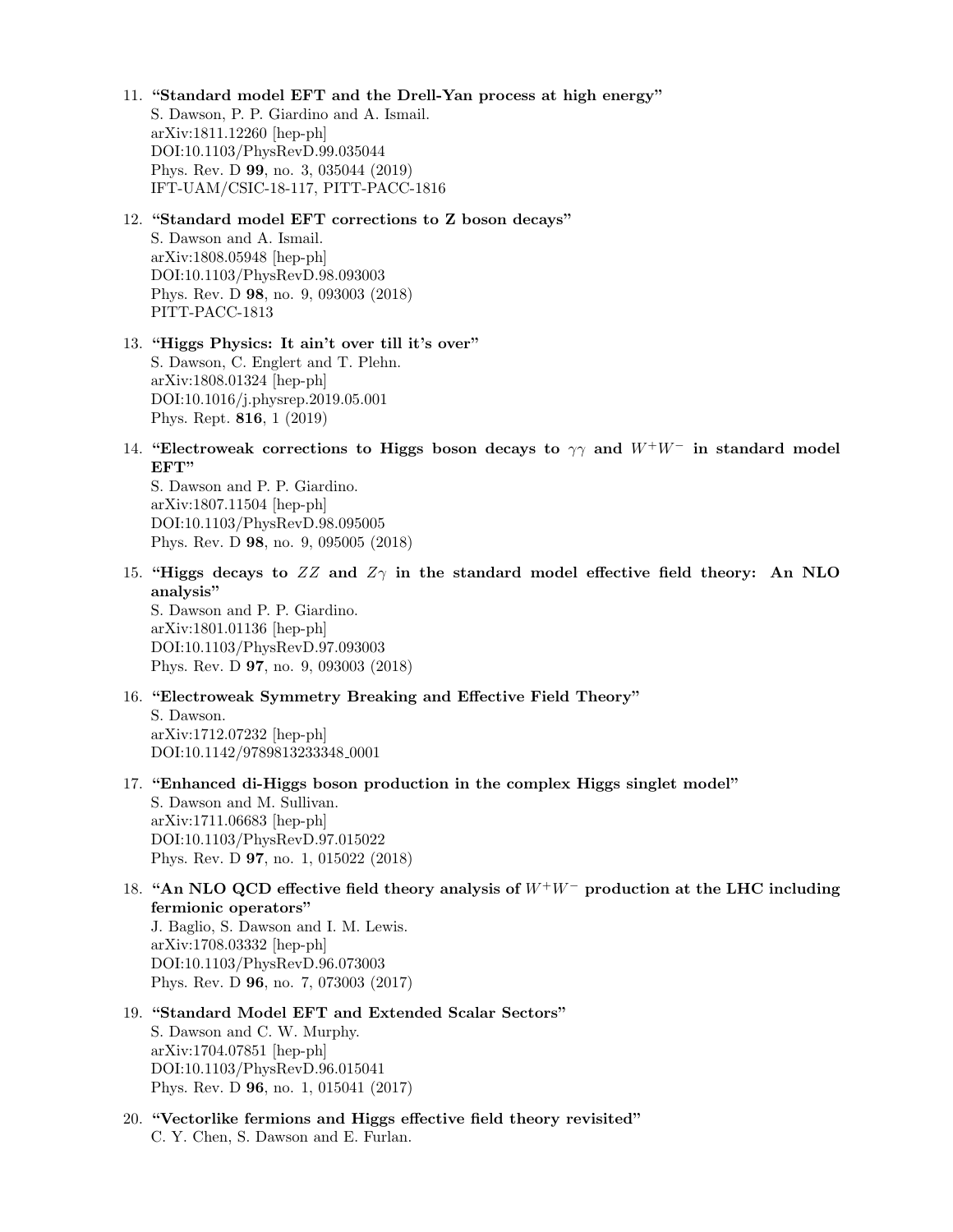# 11. "Standard model EFT and the Drell-Yan process at high energy"

S. Dawson, P. P. Giardino and A. Ismail. arXiv:1811.12260 [hep-ph] DOI:10.1103/PhysRevD.99.035044 Phys. Rev. D 99, no. 3, 035044 (2019) IFT-UAM/CSIC-18-117, PITT-PACC-1816

#### 12. "Standard model EFT corrections to Z boson decays"

S. Dawson and A. Ismail. arXiv:1808.05948 [hep-ph] DOI:10.1103/PhysRevD.98.093003 Phys. Rev. D 98, no. 9, 093003 (2018) PITT-PACC-1813

# 13. "Higgs Physics: It ain't over till it's over" S. Dawson, C. Englert and T. Plehn. arXiv:1808.01324 [hep-ph] DOI:10.1016/j.physrep.2019.05.001 Phys. Rept. 816, 1 (2019)

14. "Electroweak corrections to Higgs boson decays to  $\gamma\gamma$  and  $W^+W^-$  in standard model EFT"

S. Dawson and P. P. Giardino. arXiv:1807.11504 [hep-ph] DOI:10.1103/PhysRevD.98.095005 Phys. Rev. D 98, no. 9, 095005 (2018)

15. "Higgs decays to  $ZZ$  and  $Z\gamma$  in the standard model effective field theory: An NLO analysis"

S. Dawson and P. P. Giardino. arXiv:1801.01136 [hep-ph] DOI:10.1103/PhysRevD.97.093003 Phys. Rev. D 97, no. 9, 093003 (2018)

#### 16. "Electroweak Symmetry Breaking and Effective Field Theory"

S. Dawson. arXiv:1712.07232 [hep-ph] DOI:10.1142/9789813233348\_0001

17. "Enhanced di-Higgs boson production in the complex Higgs singlet model"

S. Dawson and M. Sullivan. arXiv:1711.06683 [hep-ph] DOI:10.1103/PhysRevD.97.015022 Phys. Rev. D 97, no. 1, 015022 (2018)

18. "An NLO QCD effective field theory analysis of  $W^+W^-$  production at the LHC including fermionic operators"

J. Baglio, S. Dawson and I. M. Lewis. arXiv:1708.03332 [hep-ph] DOI:10.1103/PhysRevD.96.073003 Phys. Rev. D 96, no. 7, 073003 (2017)

Phys. Rev. D 96, no. 1, 015041 (2017)

# 19. "Standard Model EFT and Extended Scalar Sectors" S. Dawson and C. W. Murphy. arXiv:1704.07851 [hep-ph] DOI:10.1103/PhysRevD.96.015041

20. "Vectorlike fermions and Higgs effective field theory revisited" C. Y. Chen, S. Dawson and E. Furlan.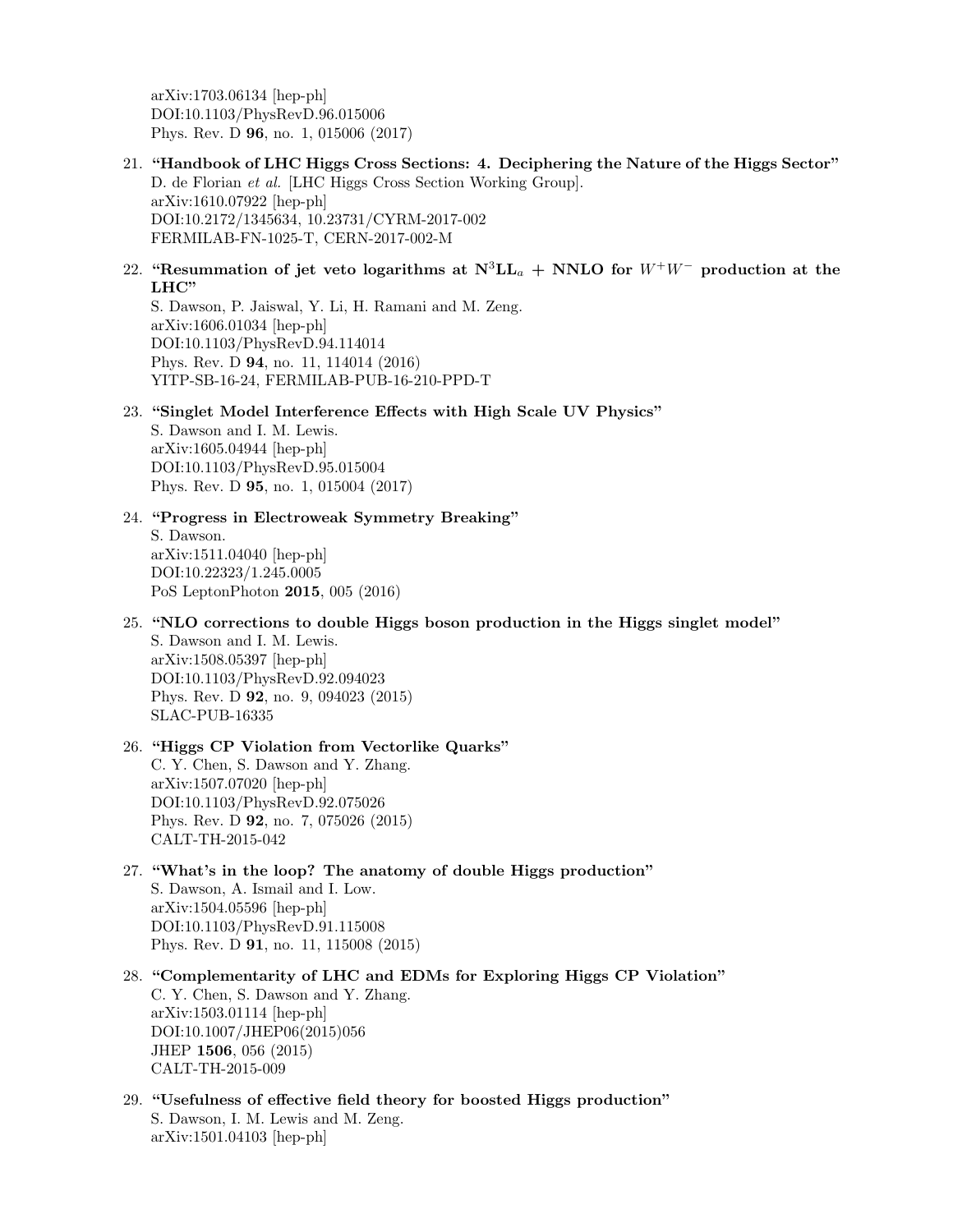arXiv:1703.06134 [hep-ph] DOI:10.1103/PhysRevD.96.015006 Phys. Rev. D 96, no. 1, 015006 (2017)

- 21. "Handbook of LHC Higgs Cross Sections: 4. Deciphering the Nature of the Higgs Sector" D. de Florian et al. [LHC Higgs Cross Section Working Group]. arXiv:1610.07922 [hep-ph] DOI:10.2172/1345634, 10.23731/CYRM-2017-002 FERMILAB-FN-1025-T, CERN-2017-002-M
- 22. "Resummation of jet veto logarithms at  $N^3LL_a + NNLO$  for  $W^+W^-$  production at the LHC"

S. Dawson, P. Jaiswal, Y. Li, H. Ramani and M. Zeng. arXiv:1606.01034 [hep-ph] DOI:10.1103/PhysRevD.94.114014 Phys. Rev. D 94, no. 11, 114014 (2016) YITP-SB-16-24, FERMILAB-PUB-16-210-PPD-T

#### 23. "Singlet Model Interference Effects with High Scale UV Physics"

S. Dawson and I. M. Lewis. arXiv:1605.04944 [hep-ph] DOI:10.1103/PhysRevD.95.015004 Phys. Rev. D 95, no. 1, 015004 (2017)

24. "Progress in Electroweak Symmetry Breaking"

S. Dawson. arXiv:1511.04040 [hep-ph] DOI:10.22323/1.245.0005 PoS LeptonPhoton 2015, 005 (2016)

25. "NLO corrections to double Higgs boson production in the Higgs singlet model"

S. Dawson and I. M. Lewis. arXiv:1508.05397 [hep-ph] DOI:10.1103/PhysRevD.92.094023 Phys. Rev. D 92, no. 9, 094023 (2015) SLAC-PUB-16335

# 26. "Higgs CP Violation from Vectorlike Quarks"

C. Y. Chen, S. Dawson and Y. Zhang. arXiv:1507.07020 [hep-ph] DOI:10.1103/PhysRevD.92.075026 Phys. Rev. D 92, no. 7, 075026 (2015) CALT-TH-2015-042

- 27. "What's in the loop? The anatomy of double Higgs production" S. Dawson, A. Ismail and I. Low. arXiv:1504.05596 [hep-ph] DOI:10.1103/PhysRevD.91.115008 Phys. Rev. D 91, no. 11, 115008 (2015)
- 28. "Complementarity of LHC and EDMs for Exploring Higgs CP Violation" C. Y. Chen, S. Dawson and Y. Zhang. arXiv:1503.01114 [hep-ph] DOI:10.1007/JHEP06(2015)056 JHEP 1506, 056 (2015) CALT-TH-2015-009
- 29. "Usefulness of effective field theory for boosted Higgs production" S. Dawson, I. M. Lewis and M. Zeng. arXiv:1501.04103 [hep-ph]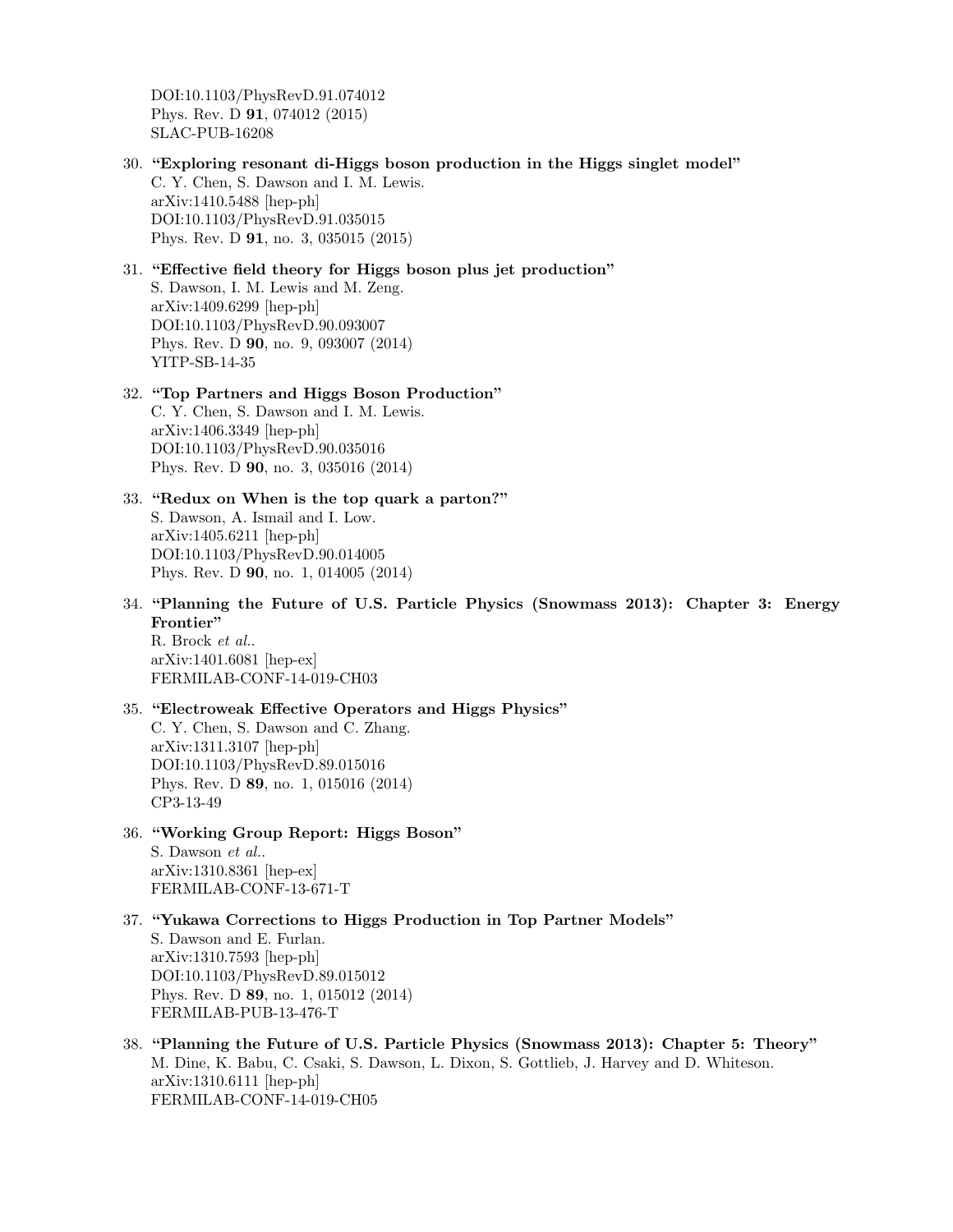DOI:10.1103/PhysRevD.91.074012 Phys. Rev. D 91, 074012 (2015) SLAC-PUB-16208

- 30. "Exploring resonant di-Higgs boson production in the Higgs singlet model" C. Y. Chen, S. Dawson and I. M. Lewis. arXiv:1410.5488 [hep-ph] DOI:10.1103/PhysRevD.91.035015 Phys. Rev. D 91, no. 3, 035015 (2015)
- 31. "Effective field theory for Higgs boson plus jet production" S. Dawson, I. M. Lewis and M. Zeng. arXiv:1409.6299 [hep-ph] DOI:10.1103/PhysRevD.90.093007 Phys. Rev. D 90, no. 9, 093007 (2014) YITP-SB-14-35
- 32. "Top Partners and Higgs Boson Production" C. Y. Chen, S. Dawson and I. M. Lewis. arXiv:1406.3349 [hep-ph] DOI:10.1103/PhysRevD.90.035016 Phys. Rev. D 90, no. 3, 035016 (2014)
- 33. "Redux on When is the top quark a parton?" S. Dawson, A. Ismail and I. Low. arXiv:1405.6211 [hep-ph] DOI:10.1103/PhysRevD.90.014005 Phys. Rev. D 90, no. 1, 014005 (2014)
- 34. "Planning the Future of U.S. Particle Physics (Snowmass 2013): Chapter 3: Energy Frontier"

R. Brock et al.. arXiv:1401.6081 [hep-ex] FERMILAB-CONF-14-019-CH03

- 35. "Electroweak Effective Operators and Higgs Physics" C. Y. Chen, S. Dawson and C. Zhang. arXiv:1311.3107 [hep-ph] DOI:10.1103/PhysRevD.89.015016 Phys. Rev. D 89, no. 1, 015016 (2014) CP3-13-49
- 36. "Working Group Report: Higgs Boson" S. Dawson et al.. arXiv:1310.8361 [hep-ex] FERMILAB-CONF-13-671-T
- 37. "Yukawa Corrections to Higgs Production in Top Partner Models" S. Dawson and E. Furlan. arXiv:1310.7593 [hep-ph] DOI:10.1103/PhysRevD.89.015012 Phys. Rev. D 89, no. 1, 015012 (2014) FERMILAB-PUB-13-476-T
- 38. "Planning the Future of U.S. Particle Physics (Snowmass 2013): Chapter 5: Theory" M. Dine, K. Babu, C. Csaki, S. Dawson, L. Dixon, S. Gottlieb, J. Harvey and D. Whiteson. arXiv:1310.6111 [hep-ph] FERMILAB-CONF-14-019-CH05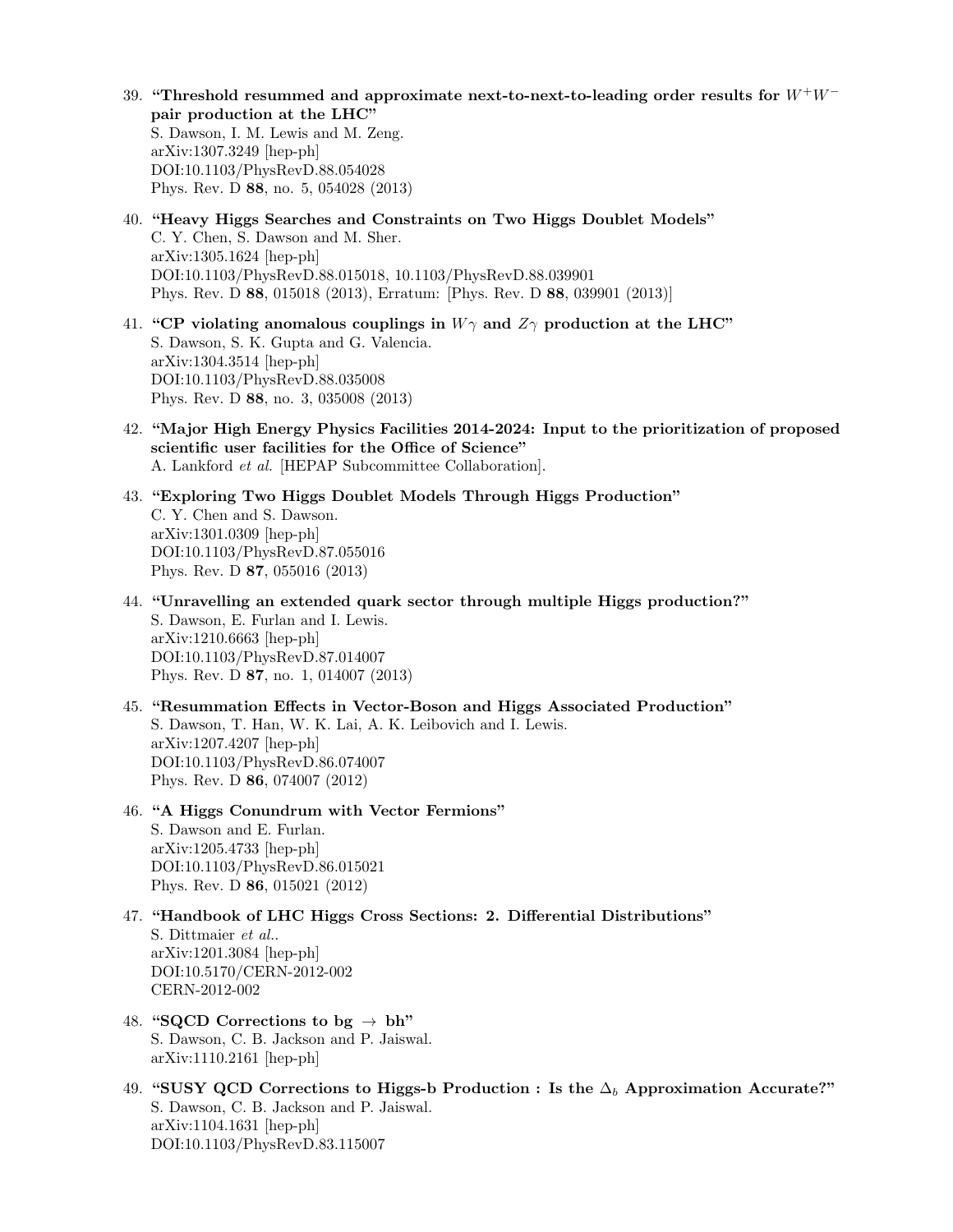- 39. "Threshold resummed and approximate next-to-next-to-leading order results for  $W^+W^$ pair production at the LHC" S. Dawson, I. M. Lewis and M. Zeng. arXiv:1307.3249 [hep-ph] DOI:10.1103/PhysRevD.88.054028 Phys. Rev. D 88, no. 5, 054028 (2013)
- 40. "Heavy Higgs Searches and Constraints on Two Higgs Doublet Models" C. Y. Chen, S. Dawson and M. Sher. arXiv:1305.1624 [hep-ph] DOI:10.1103/PhysRevD.88.015018, 10.1103/PhysRevD.88.039901 Phys. Rev. D 88, 015018 (2013), Erratum: [Phys. Rev. D 88, 039901 (2013)]
- 41. "CP violating anomalous couplings in  $W\gamma$  and  $Z\gamma$  production at the LHC" S. Dawson, S. K. Gupta and G. Valencia. arXiv:1304.3514 [hep-ph] DOI:10.1103/PhysRevD.88.035008 Phys. Rev. D 88, no. 3, 035008 (2013)
- 42. "Major High Energy Physics Facilities 2014-2024: Input to the prioritization of proposed scientific user facilities for the Office of Science" A. Lankford et al. [HEPAP Subcommittee Collaboration].
- 43. "Exploring Two Higgs Doublet Models Through Higgs Production" C. Y. Chen and S. Dawson. arXiv:1301.0309 [hep-ph] DOI:10.1103/PhysRevD.87.055016 Phys. Rev. D 87, 055016 (2013)
- 44. "Unravelling an extended quark sector through multiple Higgs production?" S. Dawson, E. Furlan and I. Lewis. arXiv:1210.6663 [hep-ph] DOI:10.1103/PhysRevD.87.014007 Phys. Rev. D 87, no. 1, 014007 (2013)
- 45. "Resummation Effects in Vector-Boson and Higgs Associated Production" S. Dawson, T. Han, W. K. Lai, A. K. Leibovich and I. Lewis. arXiv:1207.4207 [hep-ph] DOI:10.1103/PhysRevD.86.074007 Phys. Rev. D 86, 074007 (2012)
- 46. "A Higgs Conundrum with Vector Fermions" S. Dawson and E. Furlan. arXiv:1205.4733 [hep-ph] DOI:10.1103/PhysRevD.86.015021 Phys. Rev. D 86, 015021 (2012)
- 47. "Handbook of LHC Higgs Cross Sections: 2. Differential Distributions" S. Dittmaier et al.. arXiv:1201.3084 [hep-ph] DOI:10.5170/CERN-2012-002 CERN-2012-002
- 48. "SQCD Corrections to bg  $\rightarrow$  bh" S. Dawson, C. B. Jackson and P. Jaiswal. arXiv:1110.2161 [hep-ph]
- 49. "SUSY QCD Corrections to Higgs-b Production : Is the  $\Delta_b$  Approximation Accurate?" S. Dawson, C. B. Jackson and P. Jaiswal. arXiv:1104.1631 [hep-ph] DOI:10.1103/PhysRevD.83.115007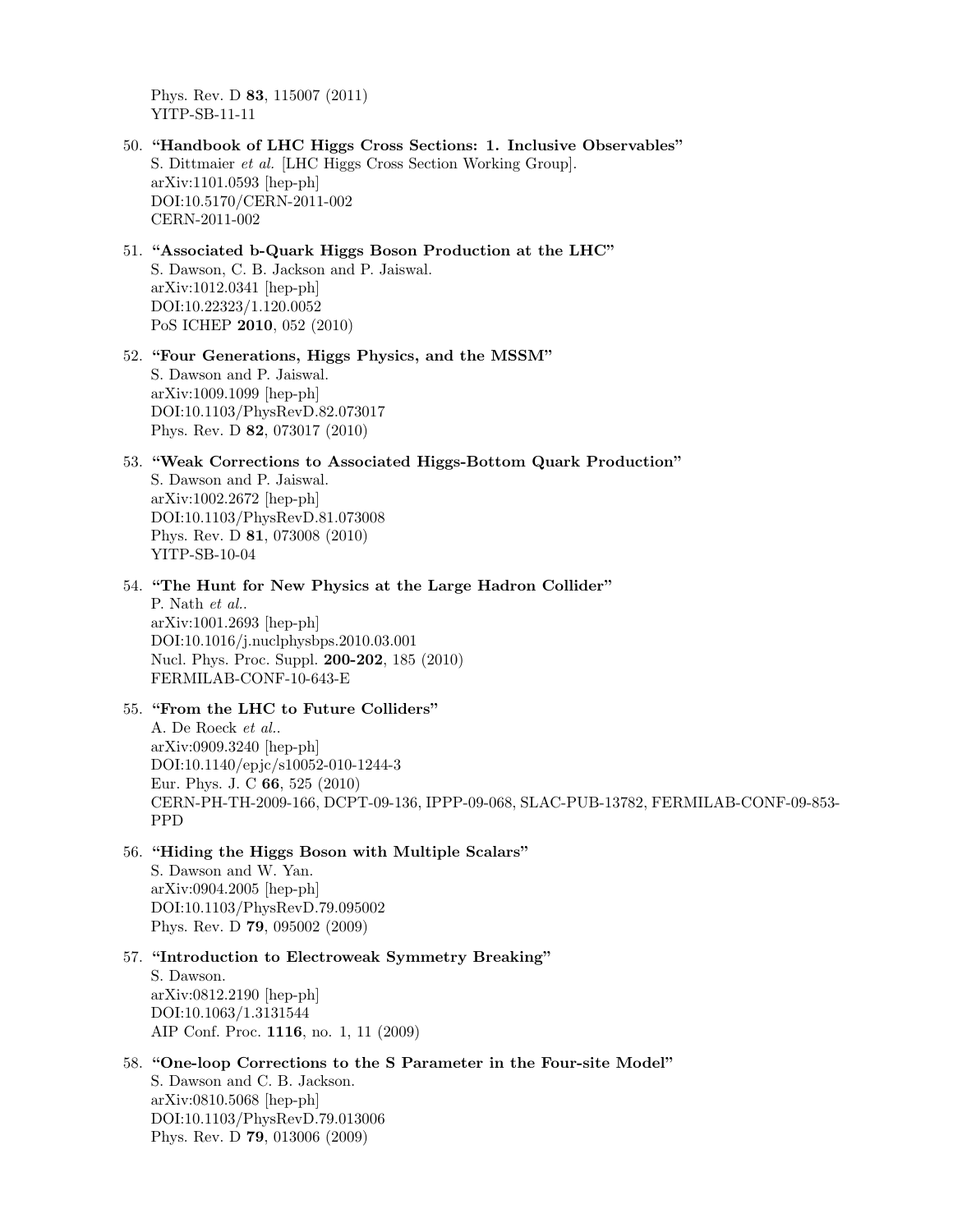Phys. Rev. D 83, 115007 (2011) YITP-SB-11-11

- 50. "Handbook of LHC Higgs Cross Sections: 1. Inclusive Observables" S. Dittmaier et al. [LHC Higgs Cross Section Working Group]. arXiv:1101.0593 [hep-ph] DOI:10.5170/CERN-2011-002 CERN-2011-002
- 51. "Associated b-Quark Higgs Boson Production at the LHC" S. Dawson, C. B. Jackson and P. Jaiswal. arXiv:1012.0341 [hep-ph] DOI:10.22323/1.120.0052 PoS ICHEP 2010, 052 (2010)

# 52. "Four Generations, Higgs Physics, and the MSSM" S. Dawson and P. Jaiswal. arXiv:1009.1099 [hep-ph] DOI:10.1103/PhysRevD.82.073017 Phys. Rev. D 82, 073017 (2010)

53. "Weak Corrections to Associated Higgs-Bottom Quark Production" S. Dawson and P. Jaiswal. arXiv:1002.2672 [hep-ph] DOI:10.1103/PhysRevD.81.073008 Phys. Rev. D 81, 073008 (2010) YITP-SB-10-04

54. "The Hunt for New Physics at the Large Hadron Collider" P. Nath et al.. arXiv:1001.2693 [hep-ph] DOI:10.1016/j.nuclphysbps.2010.03.001 Nucl. Phys. Proc. Suppl. 200-202, 185 (2010) FERMILAB-CONF-10-643-E

# 55. "From the LHC to Future Colliders" A. De Roeck et al.. arXiv:0909.3240 [hep-ph] DOI:10.1140/epjc/s10052-010-1244-3 Eur. Phys. J. C 66, 525 (2010) CERN-PH-TH-2009-166, DCPT-09-136, IPPP-09-068, SLAC-PUB-13782, FERMILAB-CONF-09-853- PPD

#### 56. "Hiding the Higgs Boson with Multiple Scalars"

S. Dawson and W. Yan. arXiv:0904.2005 [hep-ph] DOI:10.1103/PhysRevD.79.095002 Phys. Rev. D 79, 095002 (2009)

#### 57. "Introduction to Electroweak Symmetry Breaking"

S. Dawson. arXiv:0812.2190 [hep-ph] DOI:10.1063/1.3131544 AIP Conf. Proc. 1116, no. 1, 11 (2009)

#### 58. "One-loop Corrections to the S Parameter in the Four-site Model"

S. Dawson and C. B. Jackson. arXiv:0810.5068 [hep-ph] DOI:10.1103/PhysRevD.79.013006 Phys. Rev. D 79, 013006 (2009)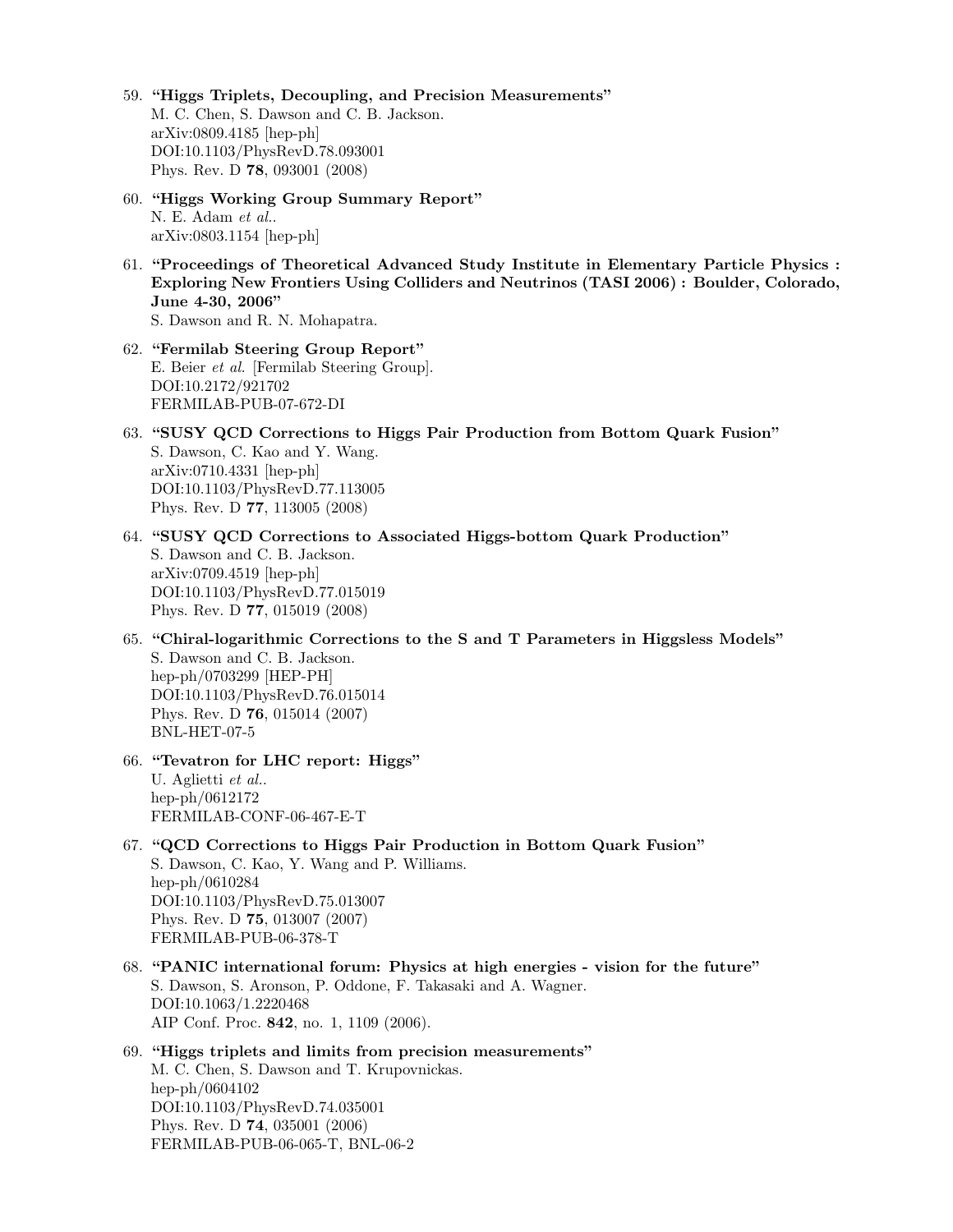- 59. "Higgs Triplets, Decoupling, and Precision Measurements" M. C. Chen, S. Dawson and C. B. Jackson. arXiv:0809.4185 [hep-ph] DOI:10.1103/PhysRevD.78.093001 Phys. Rev. D 78, 093001 (2008)
- 60. "Higgs Working Group Summary Report" N. E. Adam et al.. arXiv:0803.1154 [hep-ph]
- 61. "Proceedings of Theoretical Advanced Study Institute in Elementary Particle Physics : Exploring New Frontiers Using Colliders and Neutrinos (TASI 2006) : Boulder, Colorado, June 4-30, 2006" S. Dawson and R. N. Mohapatra.
- 62. "Fermilab Steering Group Report" E. Beier et al. [Fermilab Steering Group]. DOI:10.2172/921702 FERMILAB-PUB-07-672-DI
- 63. "SUSY QCD Corrections to Higgs Pair Production from Bottom Quark Fusion" S. Dawson, C. Kao and Y. Wang. arXiv:0710.4331 [hep-ph] DOI:10.1103/PhysRevD.77.113005 Phys. Rev. D 77, 113005 (2008)
- 64. "SUSY QCD Corrections to Associated Higgs-bottom Quark Production" S. Dawson and C. B. Jackson. arXiv:0709.4519 [hep-ph] DOI:10.1103/PhysRevD.77.015019 Phys. Rev. D 77, 015019 (2008)
- 65. "Chiral-logarithmic Corrections to the S and T Parameters in Higgsless Models" S. Dawson and C. B. Jackson. hep-ph/0703299 [HEP-PH] DOI:10.1103/PhysRevD.76.015014 Phys. Rev. D 76, 015014 (2007) BNL-HET-07-5
- 66. "Tevatron for LHC report: Higgs" U. Aglietti et al.. hep-ph/0612172 FERMILAB-CONF-06-467-E-T
- 67. "QCD Corrections to Higgs Pair Production in Bottom Quark Fusion" S. Dawson, C. Kao, Y. Wang and P. Williams. hep-ph/0610284 DOI:10.1103/PhysRevD.75.013007 Phys. Rev. D 75, 013007 (2007) FERMILAB-PUB-06-378-T
- 68. "PANIC international forum: Physics at high energies vision for the future" S. Dawson, S. Aronson, P. Oddone, F. Takasaki and A. Wagner. DOI:10.1063/1.2220468 AIP Conf. Proc. 842, no. 1, 1109 (2006).
- 69. "Higgs triplets and limits from precision measurements" M. C. Chen, S. Dawson and T. Krupovnickas. hep-ph/0604102 DOI:10.1103/PhysRevD.74.035001 Phys. Rev. D 74, 035001 (2006) FERMILAB-PUB-06-065-T, BNL-06-2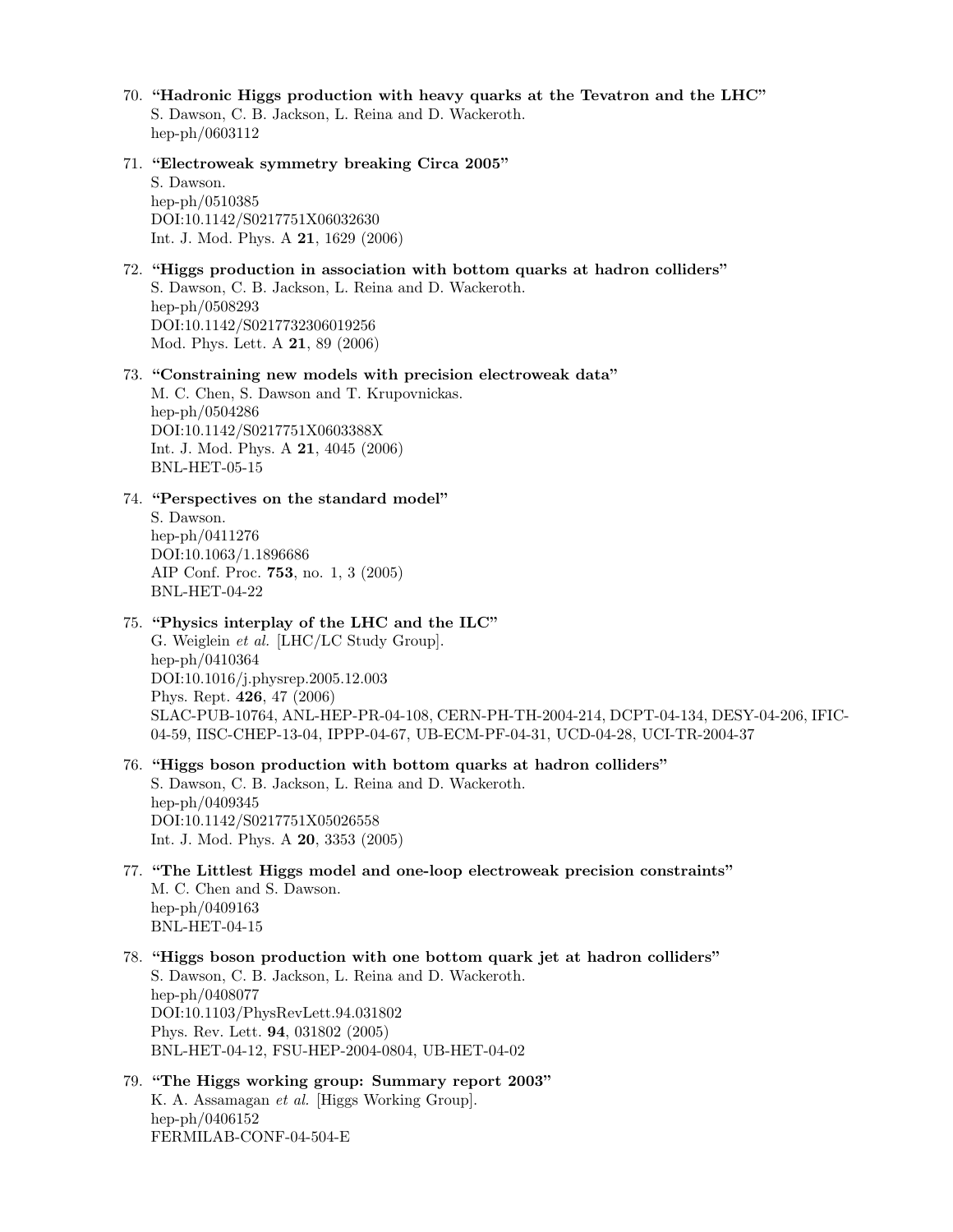- 70. "Hadronic Higgs production with heavy quarks at the Tevatron and the LHC" S. Dawson, C. B. Jackson, L. Reina and D. Wackeroth. hep-ph/0603112
- 71. "Electroweak symmetry breaking Circa 2005"

S. Dawson. hep-ph/0510385 DOI:10.1142/S0217751X06032630 Int. J. Mod. Phys. A 21, 1629 (2006)

72. "Higgs production in association with bottom quarks at hadron colliders" S. Dawson, C. B. Jackson, L. Reina and D. Wackeroth. hep-ph/0508293 DOI:10.1142/S0217732306019256 Mod. Phys. Lett. A 21, 89 (2006)

73. "Constraining new models with precision electroweak data" M. C. Chen, S. Dawson and T. Krupovnickas. hep-ph/0504286 DOI:10.1142/S0217751X0603388X Int. J. Mod. Phys. A 21, 4045 (2006) BNL-HET-05-15

74. "Perspectives on the standard model"

S. Dawson. hep-ph/0411276 DOI:10.1063/1.1896686 AIP Conf. Proc. 753, no. 1, 3 (2005) BNL-HET-04-22

# 75. "Physics interplay of the LHC and the ILC"

G. Weiglein et al. [LHC/LC Study Group]. hep-ph/0410364 DOI:10.1016/j.physrep.2005.12.003 Phys. Rept. 426, 47 (2006) SLAC-PUB-10764, ANL-HEP-PR-04-108, CERN-PH-TH-2004-214, DCPT-04-134, DESY-04-206, IFIC-04-59, IISC-CHEP-13-04, IPPP-04-67, UB-ECM-PF-04-31, UCD-04-28, UCI-TR-2004-37

76. "Higgs boson production with bottom quarks at hadron colliders"

S. Dawson, C. B. Jackson, L. Reina and D. Wackeroth. hep-ph/0409345 DOI:10.1142/S0217751X05026558 Int. J. Mod. Phys. A 20, 3353 (2005)

- 77. "The Littlest Higgs model and one-loop electroweak precision constraints" M. C. Chen and S. Dawson. hep-ph/0409163 BNL-HET-04-15
- 78. "Higgs boson production with one bottom quark jet at hadron colliders" S. Dawson, C. B. Jackson, L. Reina and D. Wackeroth. hep-ph/0408077 DOI:10.1103/PhysRevLett.94.031802 Phys. Rev. Lett. 94, 031802 (2005) BNL-HET-04-12, FSU-HEP-2004-0804, UB-HET-04-02
- 79. "The Higgs working group: Summary report 2003" K. A. Assamagan et al. [Higgs Working Group]. hep-ph/0406152 FERMILAB-CONF-04-504-E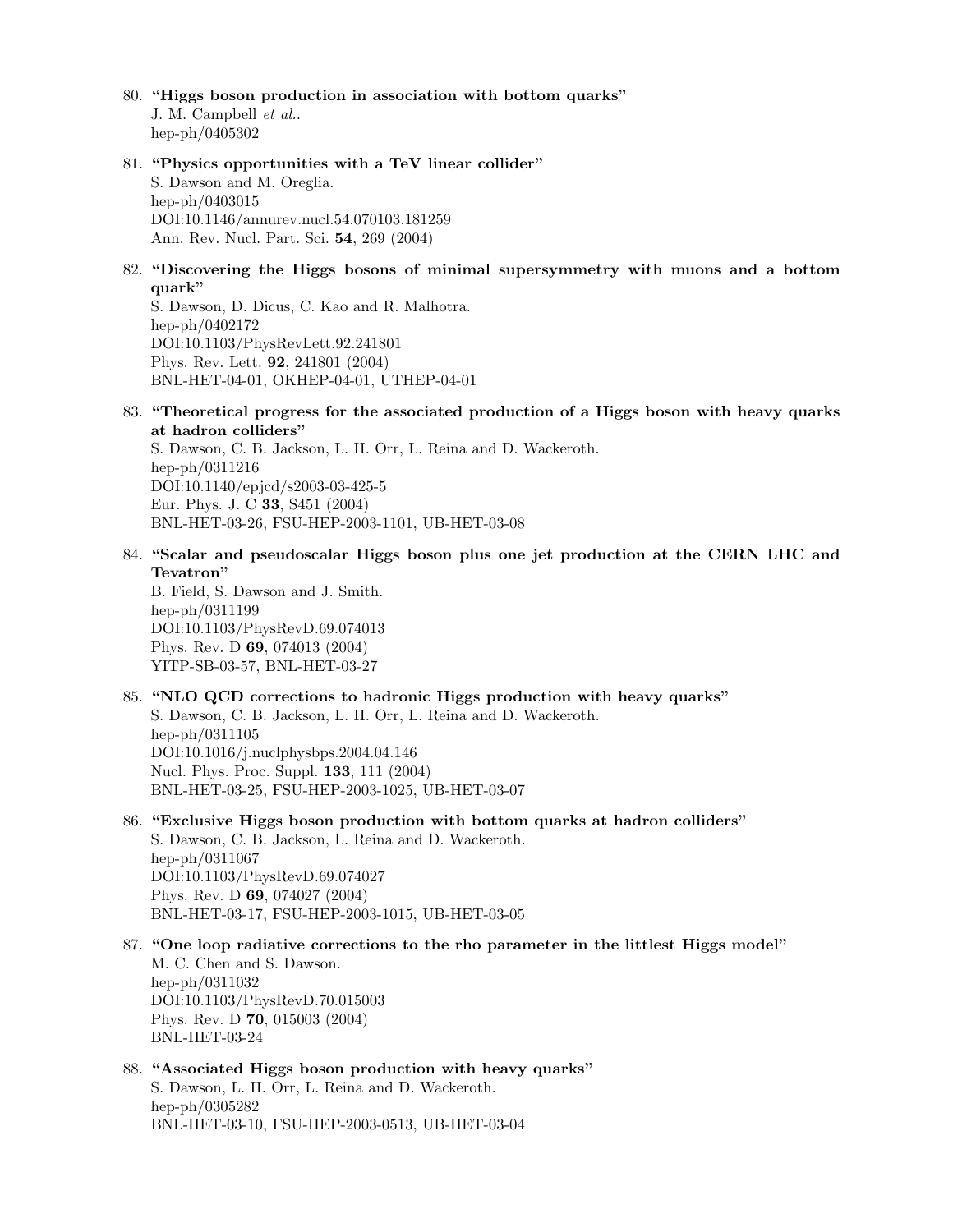- 80. "Higgs boson production in association with bottom quarks" J. M. Campbell et al.. hep-ph/0405302
- 81. "Physics opportunities with a TeV linear collider" S. Dawson and M. Oreglia. hep-ph/0403015 DOI:10.1146/annurev.nucl.54.070103.181259 Ann. Rev. Nucl. Part. Sci. 54, 269 (2004)
- 82. "Discovering the Higgs bosons of minimal supersymmetry with muons and a bottom quark"

S. Dawson, D. Dicus, C. Kao and R. Malhotra. hep-ph/0402172 DOI:10.1103/PhysRevLett.92.241801 Phys. Rev. Lett. 92, 241801 (2004) BNL-HET-04-01, OKHEP-04-01, UTHEP-04-01

83. "Theoretical progress for the associated production of a Higgs boson with heavy quarks at hadron colliders"

S. Dawson, C. B. Jackson, L. H. Orr, L. Reina and D. Wackeroth. hep-ph/0311216 DOI:10.1140/epjcd/s2003-03-425-5 Eur. Phys. J. C 33, S451 (2004) BNL-HET-03-26, FSU-HEP-2003-1101, UB-HET-03-08

84. "Scalar and pseudoscalar Higgs boson plus one jet production at the CERN LHC and Tevatron"

B. Field, S. Dawson and J. Smith. hep-ph/0311199 DOI:10.1103/PhysRevD.69.074013 Phys. Rev. D 69, 074013 (2004) YITP-SB-03-57, BNL-HET-03-27

85. "NLO QCD corrections to hadronic Higgs production with heavy quarks"

S. Dawson, C. B. Jackson, L. H. Orr, L. Reina and D. Wackeroth. hep-ph/0311105 DOI:10.1016/j.nuclphysbps.2004.04.146 Nucl. Phys. Proc. Suppl. 133, 111 (2004) BNL-HET-03-25, FSU-HEP-2003-1025, UB-HET-03-07

- 86. "Exclusive Higgs boson production with bottom quarks at hadron colliders" S. Dawson, C. B. Jackson, L. Reina and D. Wackeroth. hep-ph/0311067 DOI:10.1103/PhysRevD.69.074027 Phys. Rev. D 69, 074027 (2004) BNL-HET-03-17, FSU-HEP-2003-1015, UB-HET-03-05
- 87. "One loop radiative corrections to the rho parameter in the littlest Higgs model" M. C. Chen and S. Dawson. hep-ph/0311032 DOI:10.1103/PhysRevD.70.015003 Phys. Rev. D 70, 015003 (2004) BNL-HET-03-24
- 88. "Associated Higgs boson production with heavy quarks" S. Dawson, L. H. Orr, L. Reina and D. Wackeroth. hep-ph/0305282 BNL-HET-03-10, FSU-HEP-2003-0513, UB-HET-03-04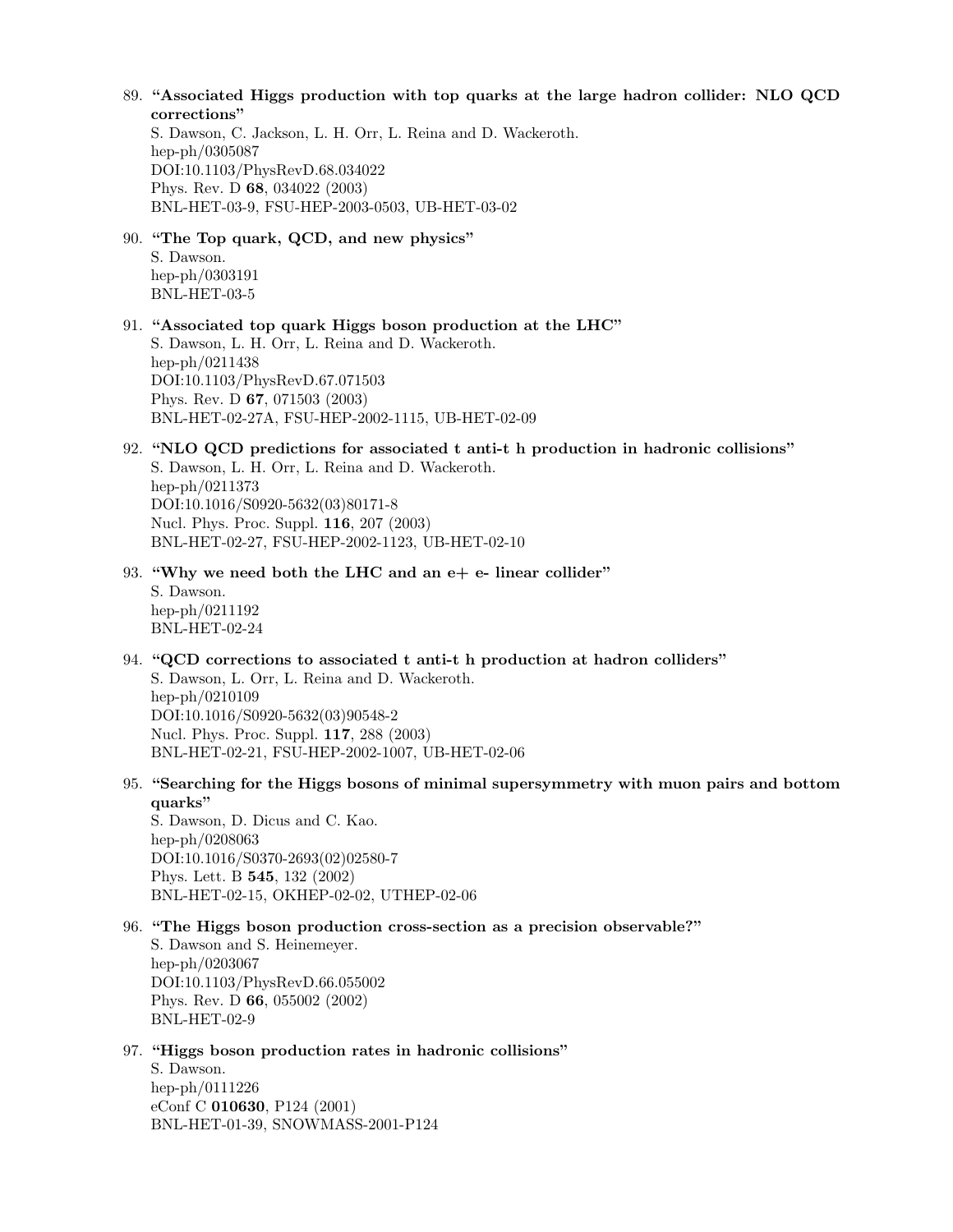#### 89. "Associated Higgs production with top quarks at the large hadron collider: NLO QCD corrections"

S. Dawson, C. Jackson, L. H. Orr, L. Reina and D. Wackeroth. hep-ph/0305087 DOI:10.1103/PhysRevD.68.034022 Phys. Rev. D 68, 034022 (2003) BNL-HET-03-9, FSU-HEP-2003-0503, UB-HET-03-02

# 90. "The Top quark, QCD, and new physics"

S. Dawson. hep-ph/0303191 BNL-HET-03-5

- 91. "Associated top quark Higgs boson production at the LHC" S. Dawson, L. H. Orr, L. Reina and D. Wackeroth. hep-ph/0211438 DOI:10.1103/PhysRevD.67.071503 Phys. Rev. D 67, 071503 (2003) BNL-HET-02-27A, FSU-HEP-2002-1115, UB-HET-02-09
- 92. "NLO QCD predictions for associated t anti-t h production in hadronic collisions" S. Dawson, L. H. Orr, L. Reina and D. Wackeroth. hep-ph/0211373 DOI:10.1016/S0920-5632(03)80171-8 Nucl. Phys. Proc. Suppl. 116, 207 (2003) BNL-HET-02-27, FSU-HEP-2002-1123, UB-HET-02-10
- 93. "Why we need both the LHC and an e+ e- linear collider"

S. Dawson. hep-ph/0211192 BNL-HET-02-24

94. "QCD corrections to associated t anti-t h production at hadron colliders"

S. Dawson, L. Orr, L. Reina and D. Wackeroth. hep-ph/0210109 DOI:10.1016/S0920-5632(03)90548-2 Nucl. Phys. Proc. Suppl. 117, 288 (2003) BNL-HET-02-21, FSU-HEP-2002-1007, UB-HET-02-06

95. "Searching for the Higgs bosons of minimal supersymmetry with muon pairs and bottom quarks"

S. Dawson, D. Dicus and C. Kao. hep-ph/0208063 DOI:10.1016/S0370-2693(02)02580-7 Phys. Lett. B 545, 132 (2002) BNL-HET-02-15, OKHEP-02-02, UTHEP-02-06

#### 96. "The Higgs boson production cross-section as a precision observable?"

S. Dawson and S. Heinemeyer. hep-ph/0203067 DOI:10.1103/PhysRevD.66.055002 Phys. Rev. D 66, 055002 (2002) BNL-HET-02-9

#### 97. "Higgs boson production rates in hadronic collisions"

S. Dawson. hep-ph/0111226 eConf C 010630, P124 (2001) BNL-HET-01-39, SNOWMASS-2001-P124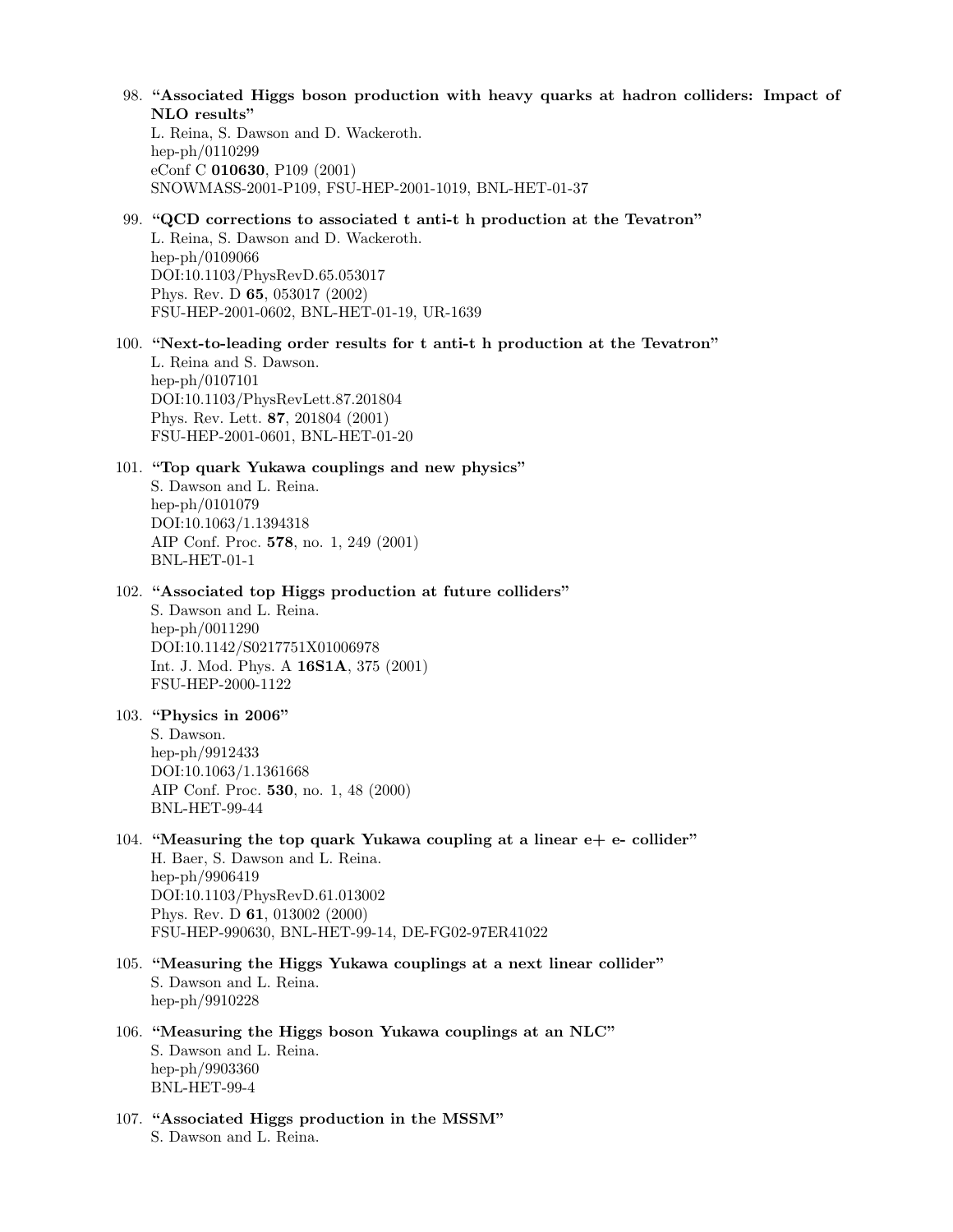98. "Associated Higgs boson production with heavy quarks at hadron colliders: Impact of NLO results"

L. Reina, S. Dawson and D. Wackeroth. hep-ph/0110299 eConf C 010630, P109 (2001) SNOWMASS-2001-P109, FSU-HEP-2001-1019, BNL-HET-01-37

# 99. "QCD corrections to associated t anti-t h production at the Tevatron"

L. Reina, S. Dawson and D. Wackeroth. hep-ph/0109066 DOI:10.1103/PhysRevD.65.053017 Phys. Rev. D 65, 053017 (2002) FSU-HEP-2001-0602, BNL-HET-01-19, UR-1639

100. "Next-to-leading order results for t anti-t h production at the Tevatron"

L. Reina and S. Dawson. hep-ph/0107101 DOI:10.1103/PhysRevLett.87.201804 Phys. Rev. Lett. 87, 201804 (2001) FSU-HEP-2001-0601, BNL-HET-01-20

#### 101. "Top quark Yukawa couplings and new physics"

S. Dawson and L. Reina. hep-ph/0101079 DOI:10.1063/1.1394318 AIP Conf. Proc. 578, no. 1, 249 (2001) BNL-HET-01-1

# 102. "Associated top Higgs production at future colliders"

S. Dawson and L. Reina. hep-ph/0011290 DOI:10.1142/S0217751X01006978 Int. J. Mod. Phys. A 16S1A, 375 (2001) FSU-HEP-2000-1122

# 103. "Physics in 2006"

S. Dawson. hep-ph/9912433 DOI:10.1063/1.1361668 AIP Conf. Proc. 530, no. 1, 48 (2000) BNL-HET-99-44

- 104. "Measuring the top quark Yukawa coupling at a linear  $e+e-$  collider" H. Baer, S. Dawson and L. Reina. hep-ph/9906419 DOI:10.1103/PhysRevD.61.013002 Phys. Rev. D 61, 013002 (2000) FSU-HEP-990630, BNL-HET-99-14, DE-FG02-97ER41022
- 105. "Measuring the Higgs Yukawa couplings at a next linear collider" S. Dawson and L. Reina. hep-ph/9910228
- 106. "Measuring the Higgs boson Yukawa couplings at an NLC" S. Dawson and L. Reina. hep-ph/9903360 BNL-HET-99-4
- 107. "Associated Higgs production in the MSSM" S. Dawson and L. Reina.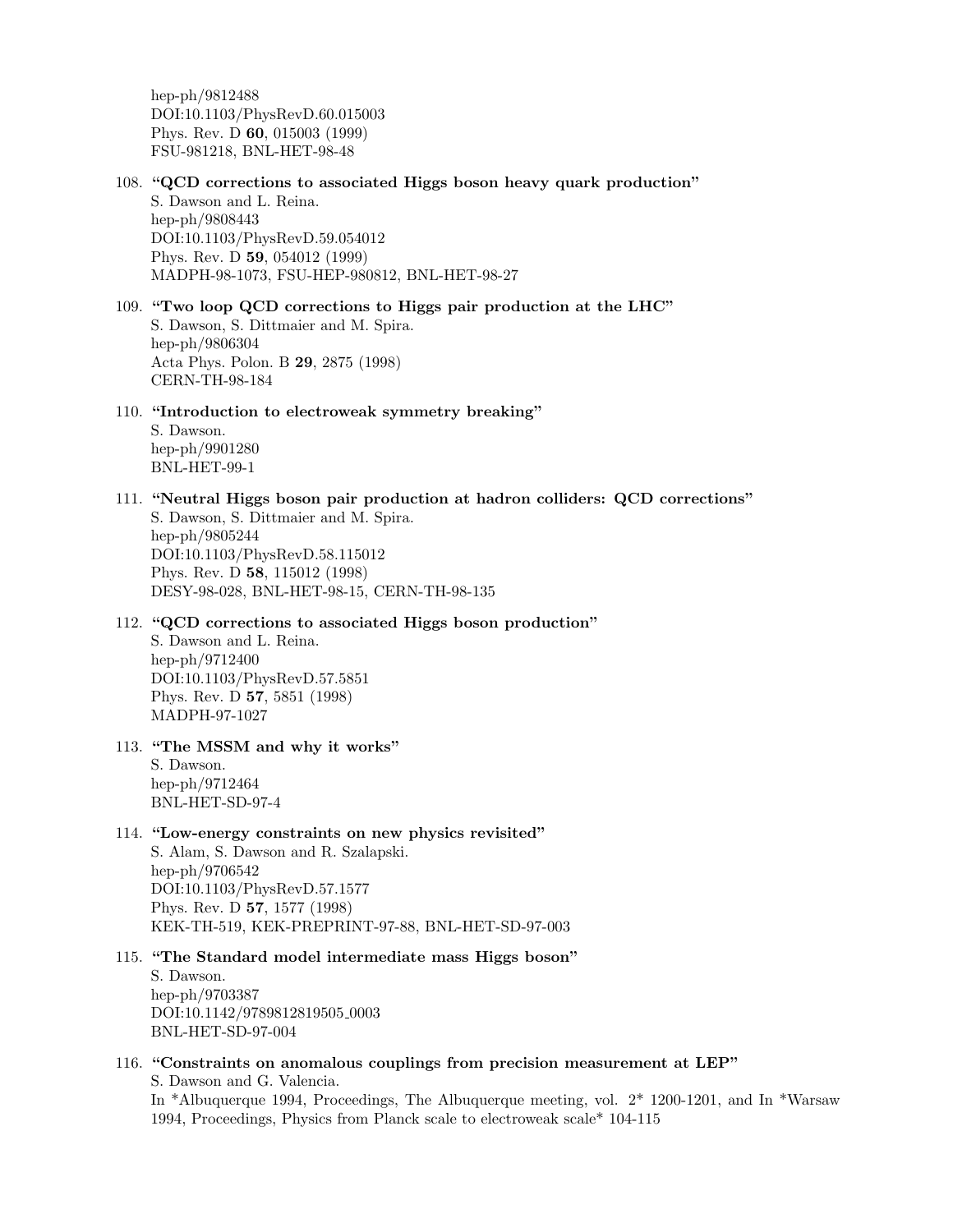hep-ph/9812488 DOI:10.1103/PhysRevD.60.015003 Phys. Rev. D 60, 015003 (1999) FSU-981218, BNL-HET-98-48

- 108. "QCD corrections to associated Higgs boson heavy quark production" S. Dawson and L. Reina. hep-ph/9808443 DOI:10.1103/PhysRevD.59.054012 Phys. Rev. D 59, 054012 (1999) MADPH-98-1073, FSU-HEP-980812, BNL-HET-98-27
- 109. "Two loop QCD corrections to Higgs pair production at the LHC" S. Dawson, S. Dittmaier and M. Spira. hep-ph/9806304 Acta Phys. Polon. B 29, 2875 (1998) CERN-TH-98-184

110. "Introduction to electroweak symmetry breaking"

S. Dawson. hep-ph/9901280 BNL-HET-99-1

- 111. "Neutral Higgs boson pair production at hadron colliders: QCD corrections" S. Dawson, S. Dittmaier and M. Spira. hep-ph/9805244 DOI:10.1103/PhysRevD.58.115012 Phys. Rev. D 58, 115012 (1998) DESY-98-028, BNL-HET-98-15, CERN-TH-98-135
- 112. "QCD corrections to associated Higgs boson production"

S. Dawson and L. Reina. hep-ph/9712400 DOI:10.1103/PhysRevD.57.5851 Phys. Rev. D 57, 5851 (1998) MADPH-97-1027

113. "The MSSM and why it works"

S. Dawson. hep-ph/9712464 BNL-HET-SD-97-4

# 114. "Low-energy constraints on new physics revisited"

S. Alam, S. Dawson and R. Szalapski. hep-ph/9706542 DOI:10.1103/PhysRevD.57.1577 Phys. Rev. D 57, 1577 (1998) KEK-TH-519, KEK-PREPRINT-97-88, BNL-HET-SD-97-003

115. "The Standard model intermediate mass Higgs boson" S. Dawson. hep-ph/9703387 DOI:10.1142/9789812819505 0003 BNL-HET-SD-97-004

#### 116. "Constraints on anomalous couplings from precision measurement at LEP" S. Dawson and G. Valencia.

In \*Albuquerque 1994, Proceedings, The Albuquerque meeting, vol. 2\* 1200-1201, and In \*Warsaw 1994, Proceedings, Physics from Planck scale to electroweak scale\* 104-115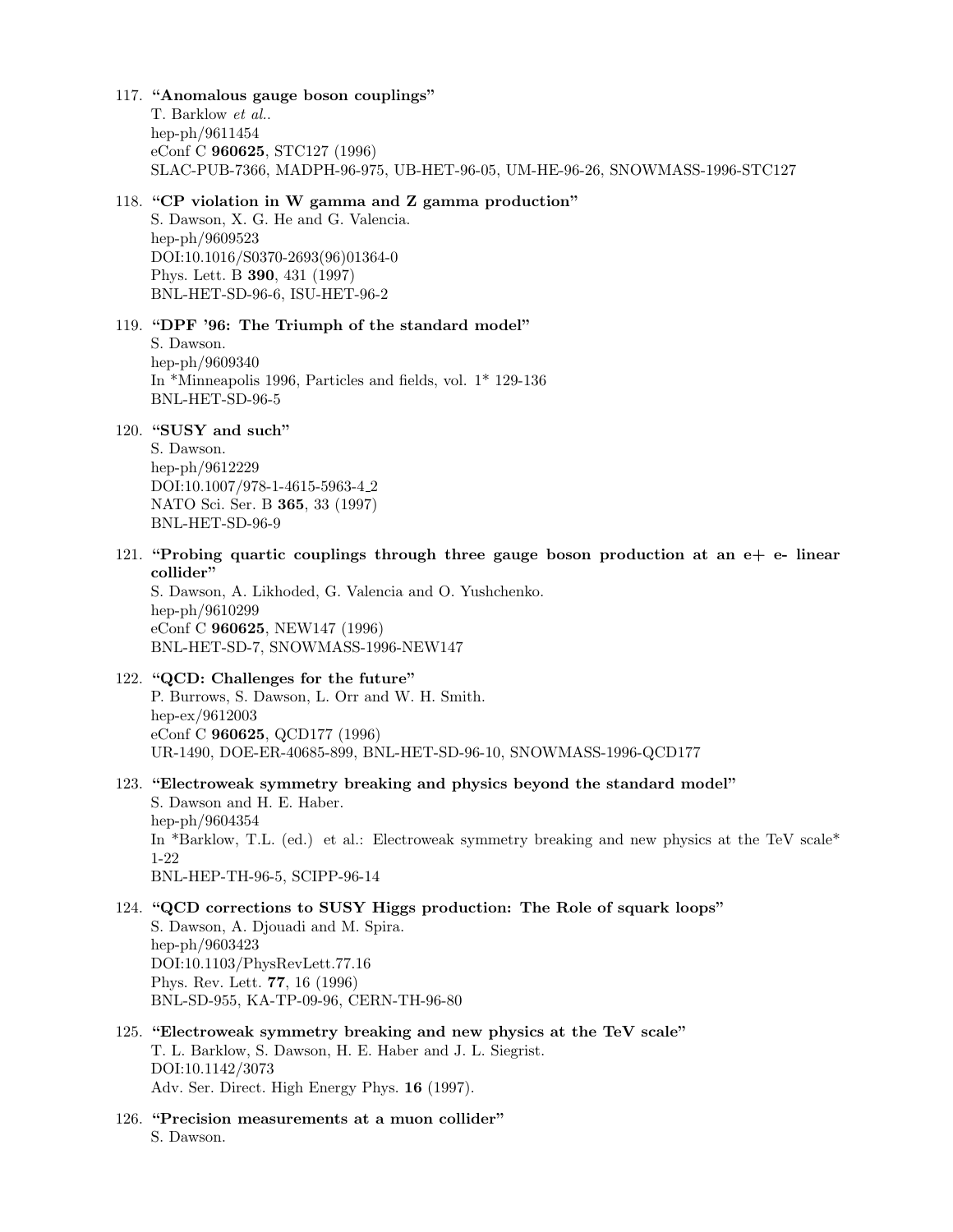#### 117. "Anomalous gauge boson couplings"

T. Barklow et al.. hep-ph/9611454 eConf C 960625, STC127 (1996) SLAC-PUB-7366, MADPH-96-975, UB-HET-96-05, UM-HE-96-26, SNOWMASS-1996-STC127

#### 118. "CP violation in W gamma and Z gamma production"

S. Dawson, X. G. He and G. Valencia. hep-ph/9609523 DOI:10.1016/S0370-2693(96)01364-0 Phys. Lett. B 390, 431 (1997) BNL-HET-SD-96-6, ISU-HET-96-2

#### 119. "DPF '96: The Triumph of the standard model"

S. Dawson. hep-ph/9609340 In \*Minneapolis 1996, Particles and fields, vol. 1\* 129-136 BNL-HET-SD-96-5

# 120. "SUSY and such"

S. Dawson. hep-ph/9612229 DOI:10.1007/978-1-4615-5963-4 2 NATO Sci. Ser. B 365, 33 (1997) BNL-HET-SD-96-9

121. "Probing quartic couplings through three gauge boson production at an  $e+e-$  linear collider"

S. Dawson, A. Likhoded, G. Valencia and O. Yushchenko. hep-ph/9610299 eConf C 960625, NEW147 (1996) BNL-HET-SD-7, SNOWMASS-1996-NEW147

#### 122. "QCD: Challenges for the future"

P. Burrows, S. Dawson, L. Orr and W. H. Smith. hep-ex/9612003 eConf C 960625, QCD177 (1996) UR-1490, DOE-ER-40685-899, BNL-HET-SD-96-10, SNOWMASS-1996-QCD177

# 123. "Electroweak symmetry breaking and physics beyond the standard model"

S. Dawson and H. E. Haber. hep-ph/9604354 In \*Barklow, T.L. (ed.) et al.: Electroweak symmetry breaking and new physics at the TeV scale\* 1-22 BNL-HEP-TH-96-5, SCIPP-96-14

# 124. "QCD corrections to SUSY Higgs production: The Role of squark loops" S. Dawson, A. Djouadi and M. Spira. hep-ph/9603423 DOI:10.1103/PhysRevLett.77.16 Phys. Rev. Lett. 77, 16 (1996) BNL-SD-955, KA-TP-09-96, CERN-TH-96-80

- 125. "Electroweak symmetry breaking and new physics at the TeV scale" T. L. Barklow, S. Dawson, H. E. Haber and J. L. Siegrist. DOI:10.1142/3073 Adv. Ser. Direct. High Energy Phys. 16 (1997).
- 126. "Precision measurements at a muon collider" S. Dawson.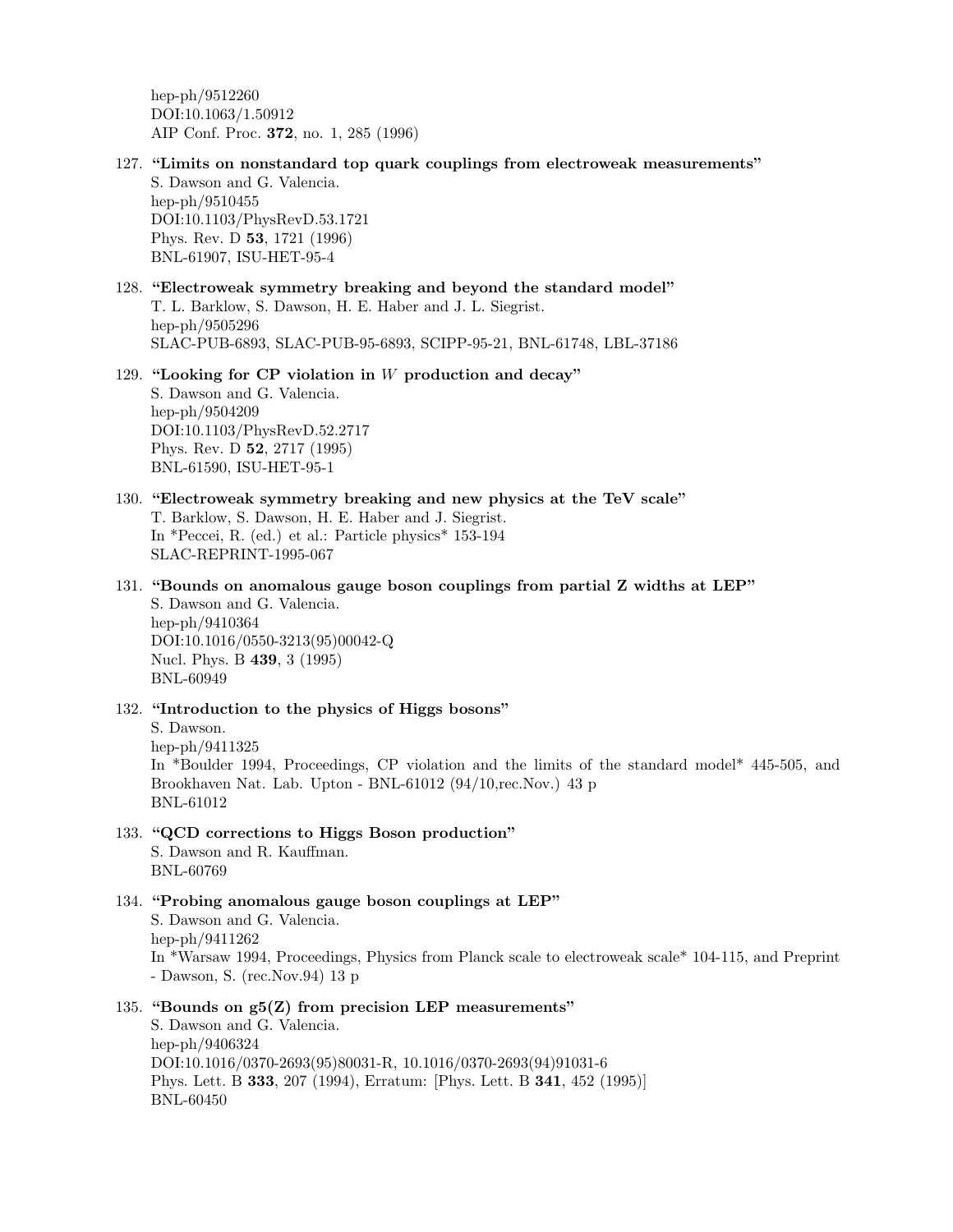hep-ph/9512260 DOI:10.1063/1.50912 AIP Conf. Proc. 372, no. 1, 285 (1996)

127. "Limits on nonstandard top quark couplings from electroweak measurements" S. Dawson and G. Valencia. hep-ph/9510455

DOI:10.1103/PhysRevD.53.1721 Phys. Rev. D 53, 1721 (1996) BNL-61907, ISU-HET-95-4

128. "Electroweak symmetry breaking and beyond the standard model" T. L. Barklow, S. Dawson, H. E. Haber and J. L. Siegrist. hep-ph/9505296 SLAC-PUB-6893, SLAC-PUB-95-6893, SCIPP-95-21, BNL-61748, LBL-37186

## 129. "Looking for CP violation in  $W$  production and decay" S. Dawson and G. Valencia. hep-ph/9504209 DOI:10.1103/PhysRevD.52.2717 Phys. Rev. D 52, 2717 (1995) BNL-61590, ISU-HET-95-1

- 130. "Electroweak symmetry breaking and new physics at the TeV scale" T. Barklow, S. Dawson, H. E. Haber and J. Siegrist. In \*Peccei, R. (ed.) et al.: Particle physics\* 153-194 SLAC-REPRINT-1995-067
- 131. "Bounds on anomalous gauge boson couplings from partial Z widths at LEP" S. Dawson and G. Valencia. hep-ph/9410364 DOI:10.1016/0550-3213(95)00042-Q Nucl. Phys. B 439, 3 (1995) BNL-60949
- 132. "Introduction to the physics of Higgs bosons"

S. Dawson. hep-ph/9411325 In \*Boulder 1994, Proceedings, CP violation and the limits of the standard model\* 445-505, and Brookhaven Nat. Lab. Upton - BNL-61012 (94/10,rec.Nov.) 43 p BNL-61012

#### 133. "QCD corrections to Higgs Boson production" S. Dawson and R. Kauffman. BNL-60769

134. "Probing anomalous gauge boson couplings at LEP" S. Dawson and G. Valencia. hep-ph/9411262 In \*Warsaw 1994, Proceedings, Physics from Planck scale to electroweak scale\* 104-115, and Preprint - Dawson, S. (rec.Nov.94) 13 p

135. "Bounds on  $g5(Z)$  from precision LEP measurements" S. Dawson and G. Valencia. hep-ph/9406324 DOI:10.1016/0370-2693(95)80031-R, 10.1016/0370-2693(94)91031-6 Phys. Lett. B 333, 207 (1994), Erratum: [Phys. Lett. B 341, 452 (1995)] BNL-60450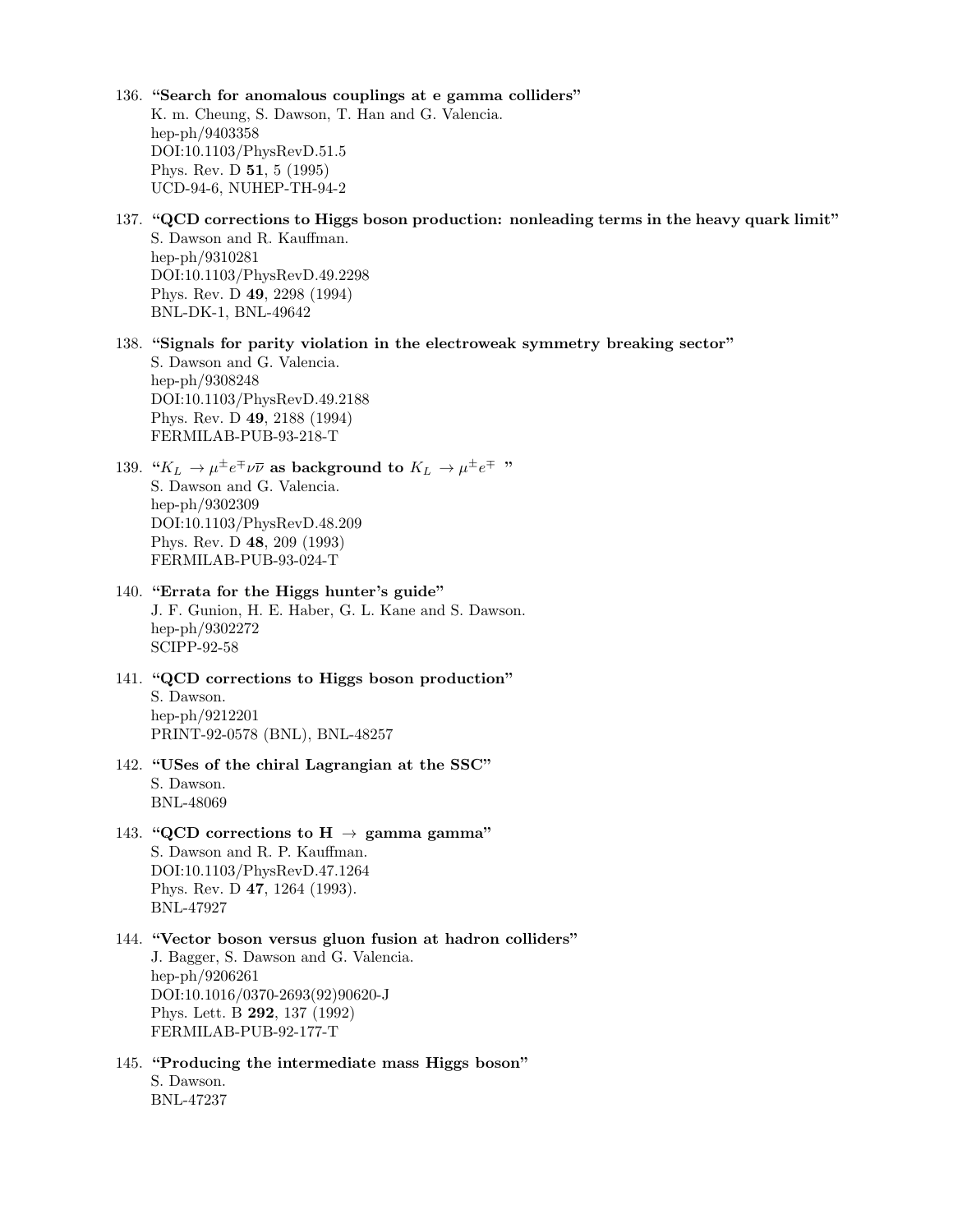- 136. "Search for anomalous couplings at e gamma colliders" K. m. Cheung, S. Dawson, T. Han and G. Valencia. hep-ph/9403358 DOI:10.1103/PhysRevD.51.5 Phys. Rev. D 51, 5 (1995) UCD-94-6, NUHEP-TH-94-2
- 137. "QCD corrections to Higgs boson production: nonleading terms in the heavy quark limit" S. Dawson and R. Kauffman. hep-ph/9310281 DOI:10.1103/PhysRevD.49.2298 Phys. Rev. D 49, 2298 (1994) BNL-DK-1, BNL-49642
- 138. "Signals for parity violation in the electroweak symmetry breaking sector" S. Dawson and G. Valencia. hep-ph/9308248

DOI:10.1103/PhysRevD.49.2188 Phys. Rev. D 49, 2188 (1994) FERMILAB-PUB-93-218-T

- 139. " $K_L \to \mu^{\pm} e^{\mp} \nu \overline{\nu}$  as background to  $K_L \to \mu^{\pm} e^{\mp}$ " S. Dawson and G. Valencia. hep-ph/9302309 DOI:10.1103/PhysRevD.48.209 Phys. Rev. D 48, 209 (1993) FERMILAB-PUB-93-024-T
- 140. "Errata for the Higgs hunter's guide" J. F. Gunion, H. E. Haber, G. L. Kane and S. Dawson. hep-ph/9302272 SCIPP-92-58
- 141. "QCD corrections to Higgs boson production" S. Dawson. hep-ph/9212201 PRINT-92-0578 (BNL), BNL-48257
- 142. "USes of the chiral Lagrangian at the SSC" S. Dawson. BNL-48069
- 143. "QCD corrections to H  $\rightarrow$  gamma gamma" S. Dawson and R. P. Kauffman. DOI:10.1103/PhysRevD.47.1264 Phys. Rev. D 47, 1264 (1993). BNL-47927
- 144. "Vector boson versus gluon fusion at hadron colliders" J. Bagger, S. Dawson and G. Valencia. hep-ph/9206261 DOI:10.1016/0370-2693(92)90620-J Phys. Lett. B 292, 137 (1992) FERMILAB-PUB-92-177-T
- 145. "Producing the intermediate mass Higgs boson" S. Dawson. BNL-47237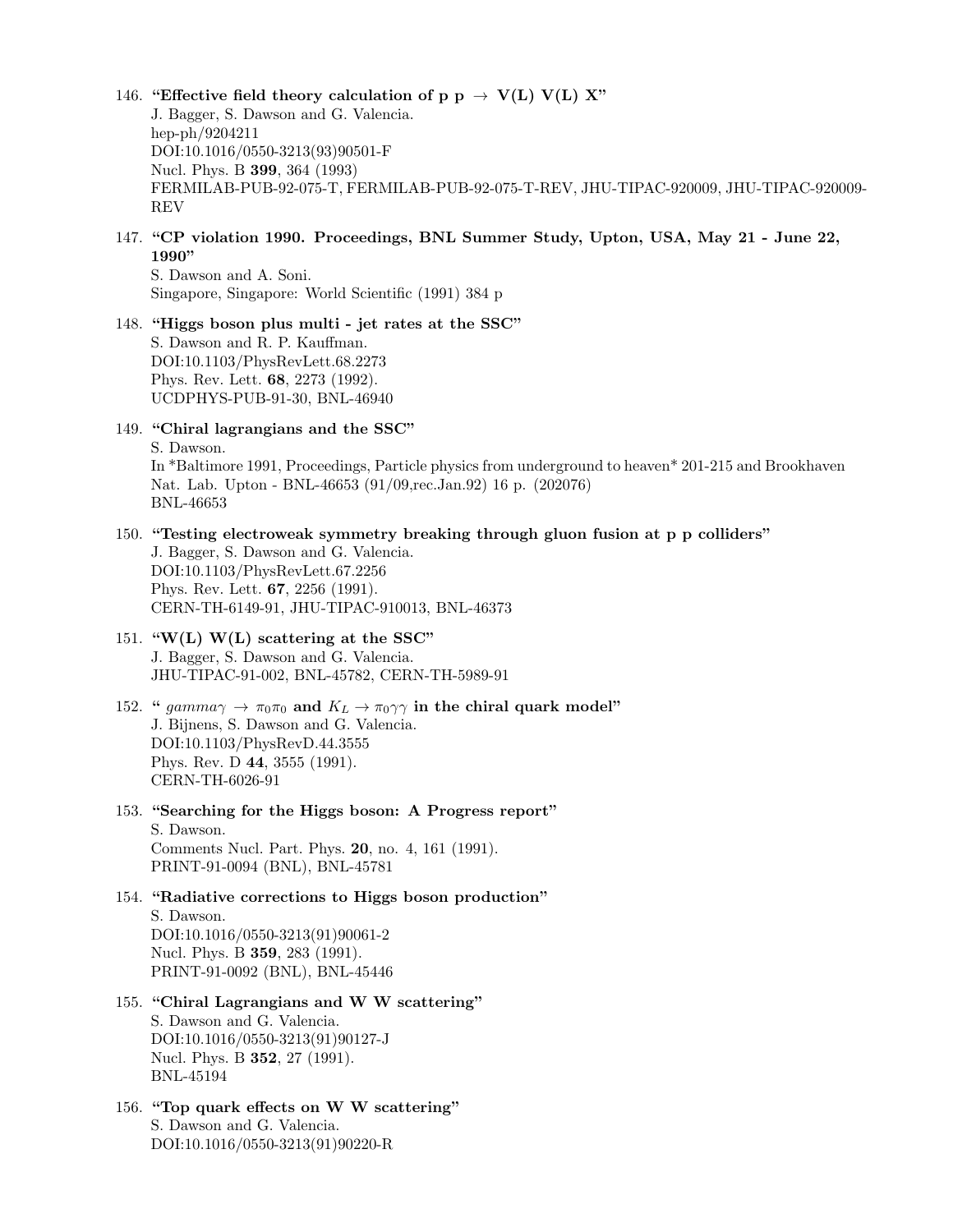- 146. "Effective field theory calculation of p p  $\rightarrow$  V(L) V(L) X" J. Bagger, S. Dawson and G. Valencia. hep-ph/9204211 DOI:10.1016/0550-3213(93)90501-F Nucl. Phys. B 399, 364 (1993) FERMILAB-PUB-92-075-T, FERMILAB-PUB-92-075-T-REV, JHU-TIPAC-920009, JHU-TIPAC-920009- REV
- 147. "CP violation 1990. Proceedings, BNL Summer Study, Upton, USA, May 21 June 22, 1990"

S. Dawson and A. Soni. Singapore, Singapore: World Scientific (1991) 384 p

# 148. "Higgs boson plus multi - jet rates at the SSC" S. Dawson and R. P. Kauffman. DOI:10.1103/PhysRevLett.68.2273 Phys. Rev. Lett. 68, 2273 (1992). UCDPHYS-PUB-91-30, BNL-46940

149. "Chiral lagrangians and the SSC" S. Dawson. In \*Baltimore 1991, Proceedings, Particle physics from underground to heaven\* 201-215 and Brookhaven Nat. Lab. Upton - BNL-46653 (91/09,rec.Jan.92) 16 p. (202076) BNL-46653

- 150. "Testing electroweak symmetry breaking through gluon fusion at p p colliders" J. Bagger, S. Dawson and G. Valencia. DOI:10.1103/PhysRevLett.67.2256 Phys. Rev. Lett. 67, 2256 (1991). CERN-TH-6149-91, JHU-TIPAC-910013, BNL-46373
- 151. "W(L) W(L) scattering at the SSC" J. Bagger, S. Dawson and G. Valencia. JHU-TIPAC-91-002, BNL-45782, CERN-TH-5989-91
- 152. "  $gamma \rightarrow \pi_0 \pi_0$  and  $K_L \rightarrow \pi_0 \gamma \gamma$  in the chiral quark model" J. Bijnens, S. Dawson and G. Valencia. DOI:10.1103/PhysRevD.44.3555 Phys. Rev. D 44, 3555 (1991). CERN-TH-6026-91
- 153. "Searching for the Higgs boson: A Progress report" S. Dawson. Comments Nucl. Part. Phys. 20, no. 4, 161 (1991). PRINT-91-0094 (BNL), BNL-45781
- 154. "Radiative corrections to Higgs boson production" S. Dawson. DOI:10.1016/0550-3213(91)90061-2 Nucl. Phys. B 359, 283 (1991). PRINT-91-0092 (BNL), BNL-45446
- 155. "Chiral Lagrangians and W W scattering" S. Dawson and G. Valencia. DOI:10.1016/0550-3213(91)90127-J Nucl. Phys. B 352, 27 (1991). BNL-45194
- 156. "Top quark effects on W W scattering" S. Dawson and G. Valencia. DOI:10.1016/0550-3213(91)90220-R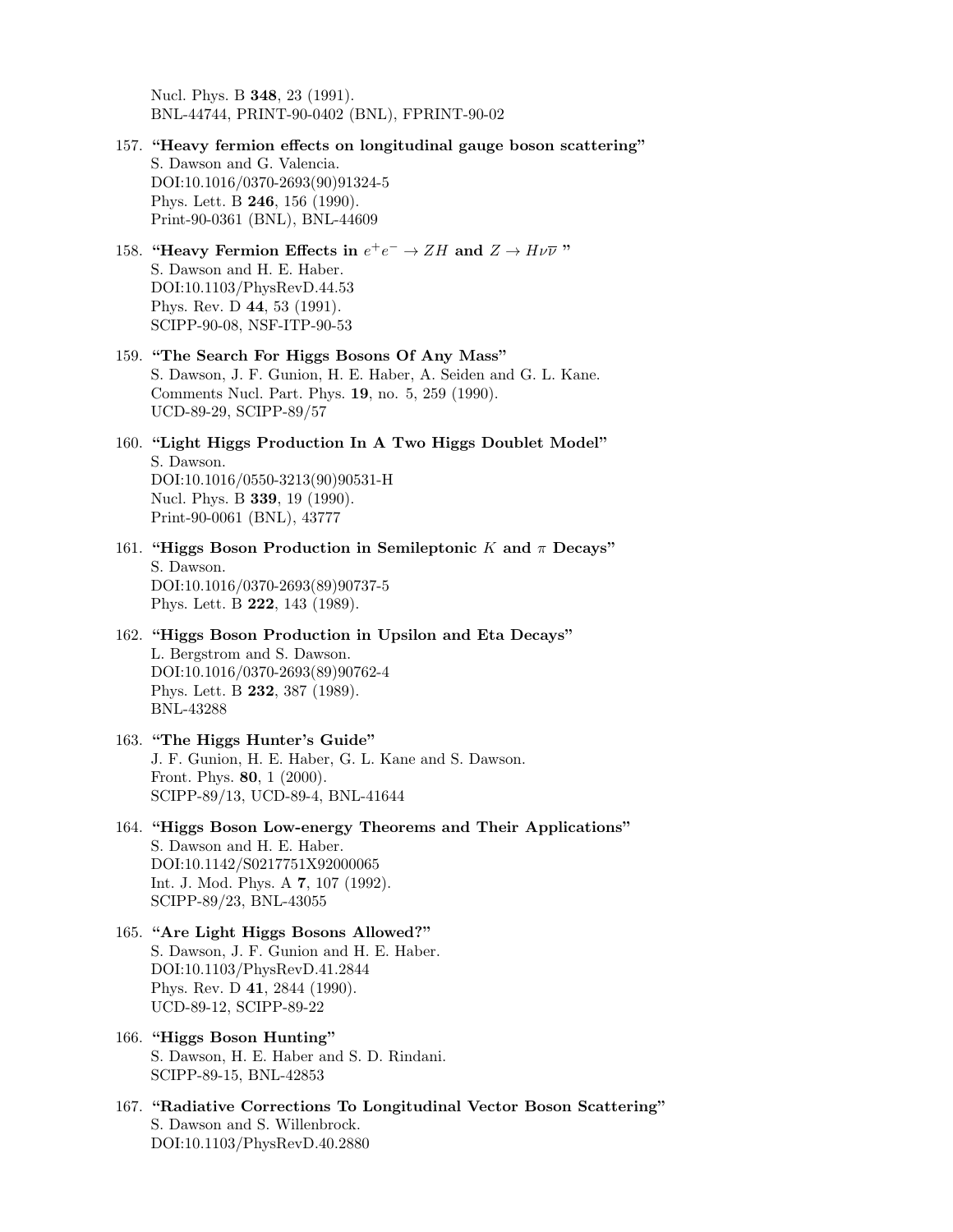Nucl. Phys. B 348, 23 (1991). BNL-44744, PRINT-90-0402 (BNL), FPRINT-90-02

- 157. "Heavy fermion effects on longitudinal gauge boson scattering" S. Dawson and G. Valencia. DOI:10.1016/0370-2693(90)91324-5 Phys. Lett. B 246, 156 (1990). Print-90-0361 (BNL), BNL-44609
- 158. "Heavy Fermion Effects in  $e^+e^- \to ZH$  and  $Z \to H\nu\overline{\nu}$ " S. Dawson and H. E. Haber. DOI:10.1103/PhysRevD.44.53 Phys. Rev. D 44, 53 (1991). SCIPP-90-08, NSF-ITP-90-53
- 159. "The Search For Higgs Bosons Of Any Mass" S. Dawson, J. F. Gunion, H. E. Haber, A. Seiden and G. L. Kane. Comments Nucl. Part. Phys. 19, no. 5, 259 (1990). UCD-89-29, SCIPP-89/57
- 160. "Light Higgs Production In A Two Higgs Doublet Model" S. Dawson. DOI:10.1016/0550-3213(90)90531-H Nucl. Phys. B 339, 19 (1990). Print-90-0061 (BNL), 43777
- 161. "Higgs Boson Production in Semileptonic K and  $\pi$  Decays" S. Dawson. DOI:10.1016/0370-2693(89)90737-5 Phys. Lett. B 222, 143 (1989).
- 162. "Higgs Boson Production in Upsilon and Eta Decays" L. Bergstrom and S. Dawson. DOI:10.1016/0370-2693(89)90762-4 Phys. Lett. B 232, 387 (1989). BNL-43288
- 163. "The Higgs Hunter's Guide" J. F. Gunion, H. E. Haber, G. L. Kane and S. Dawson. Front. Phys. 80, 1 (2000). SCIPP-89/13, UCD-89-4, BNL-41644
- 164. "Higgs Boson Low-energy Theorems and Their Applications" S. Dawson and H. E. Haber. DOI:10.1142/S0217751X92000065 Int. J. Mod. Phys. A 7, 107 (1992). SCIPP-89/23, BNL-43055
- 165. "Are Light Higgs Bosons Allowed?" S. Dawson, J. F. Gunion and H. E. Haber. DOI:10.1103/PhysRevD.41.2844 Phys. Rev. D 41, 2844 (1990). UCD-89-12, SCIPP-89-22
- 166. "Higgs Boson Hunting" S. Dawson, H. E. Haber and S. D. Rindani. SCIPP-89-15, BNL-42853
- 167. "Radiative Corrections To Longitudinal Vector Boson Scattering" S. Dawson and S. Willenbrock. DOI:10.1103/PhysRevD.40.2880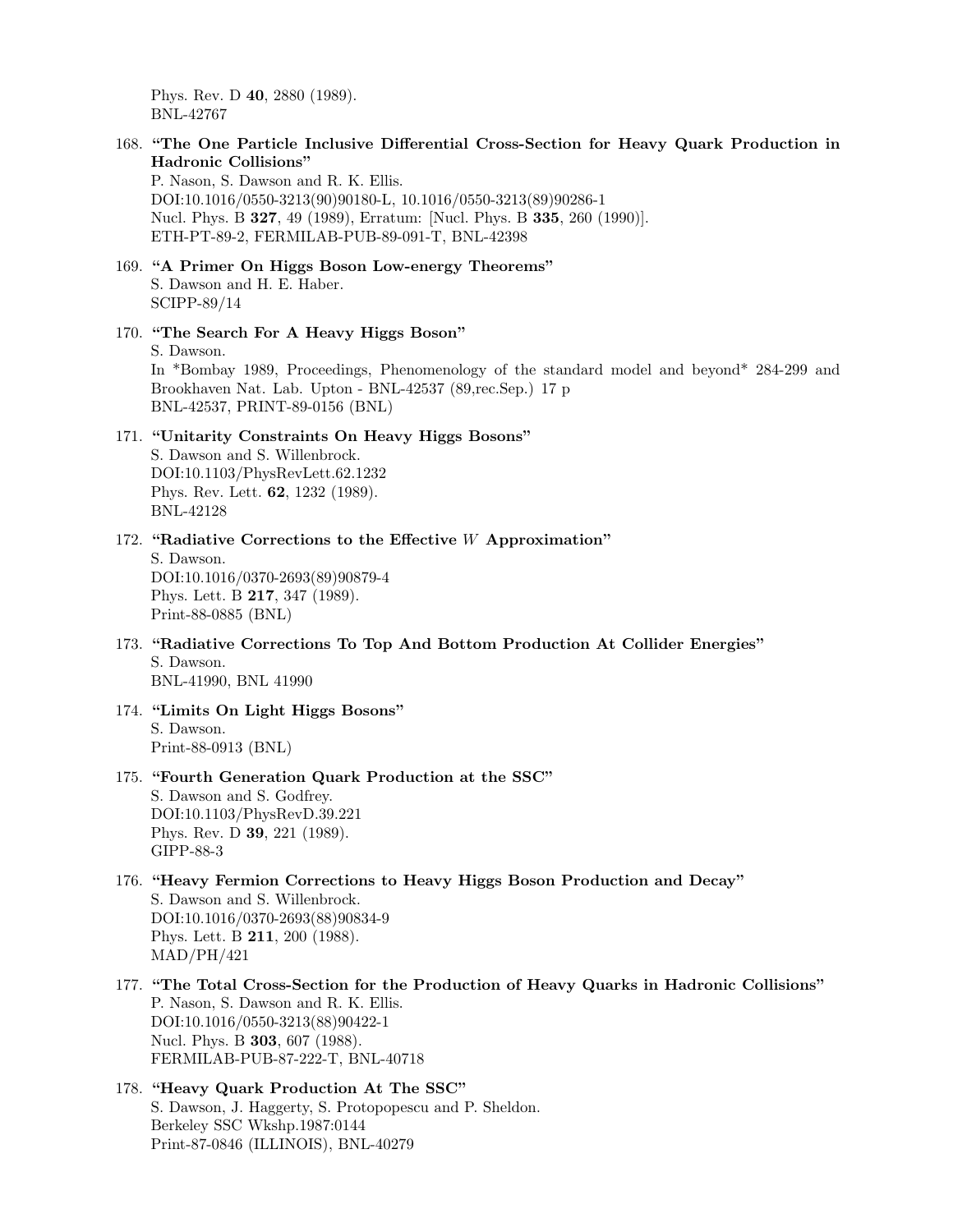Phys. Rev. D 40, 2880 (1989). BNL-42767

168. "The One Particle Inclusive Differential Cross-Section for Heavy Quark Production in Hadronic Collisions"

P. Nason, S. Dawson and R. K. Ellis. DOI:10.1016/0550-3213(90)90180-L, 10.1016/0550-3213(89)90286-1 Nucl. Phys. B 327, 49 (1989), Erratum: [Nucl. Phys. B 335, 260 (1990)]. ETH-PT-89-2, FERMILAB-PUB-89-091-T, BNL-42398

- 169. "A Primer On Higgs Boson Low-energy Theorems" S. Dawson and H. E. Haber. SCIPP-89/14
- 170. "The Search For A Heavy Higgs Boson" S. Dawson. In \*Bombay 1989, Proceedings, Phenomenology of the standard model and beyond\* 284-299 and Brookhaven Nat. Lab. Upton - BNL-42537 (89,rec.Sep.) 17 p BNL-42537, PRINT-89-0156 (BNL)

# 171. "Unitarity Constraints On Heavy Higgs Bosons" S. Dawson and S. Willenbrock.

DOI:10.1103/PhysRevLett.62.1232 Phys. Rev. Lett. 62, 1232 (1989). BNL-42128

- 172. "Radiative Corrections to the Effective W Approximation" S. Dawson. DOI:10.1016/0370-2693(89)90879-4 Phys. Lett. B 217, 347 (1989).
- 173. "Radiative Corrections To Top And Bottom Production At Collider Energies" S. Dawson. BNL-41990, BNL 41990
- 174. "Limits On Light Higgs Bosons" S. Dawson. Print-88-0913 (BNL)

Print-88-0885 (BNL)

## 175. "Fourth Generation Quark Production at the SSC" S. Dawson and S. Godfrey. DOI:10.1103/PhysRevD.39.221 Phys. Rev. D 39, 221 (1989). GIPP-88-3

- 176. "Heavy Fermion Corrections to Heavy Higgs Boson Production and Decay" S. Dawson and S. Willenbrock. DOI:10.1016/0370-2693(88)90834-9 Phys. Lett. B 211, 200 (1988). MAD/PH/421
- 177. "The Total Cross-Section for the Production of Heavy Quarks in Hadronic Collisions" P. Nason, S. Dawson and R. K. Ellis. DOI:10.1016/0550-3213(88)90422-1 Nucl. Phys. B 303, 607 (1988). FERMILAB-PUB-87-222-T, BNL-40718
- 178. "Heavy Quark Production At The SSC" S. Dawson, J. Haggerty, S. Protopopescu and P. Sheldon. Berkeley SSC Wkshp.1987:0144 Print-87-0846 (ILLINOIS), BNL-40279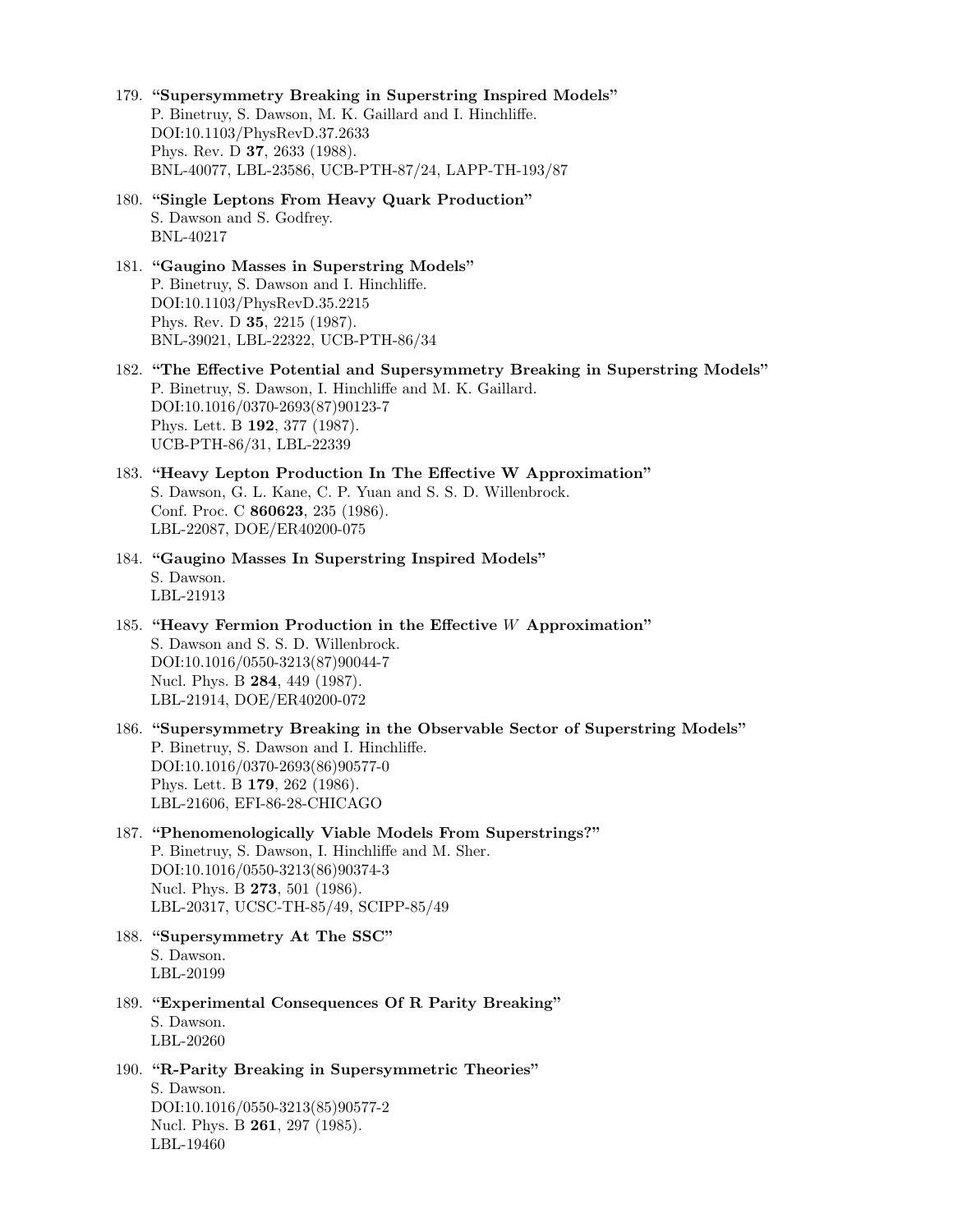- 179. "Supersymmetry Breaking in Superstring Inspired Models" P. Binetruy, S. Dawson, M. K. Gaillard and I. Hinchliffe. DOI:10.1103/PhysRevD.37.2633 Phys. Rev. D 37, 2633 (1988). BNL-40077, LBL-23586, UCB-PTH-87/24, LAPP-TH-193/87
- 180. "Single Leptons From Heavy Quark Production" S. Dawson and S. Godfrey. BNL-40217
- 181. "Gaugino Masses in Superstring Models" P. Binetruy, S. Dawson and I. Hinchliffe. DOI:10.1103/PhysRevD.35.2215 Phys. Rev. D 35, 2215 (1987). BNL-39021, LBL-22322, UCB-PTH-86/34
- 182. "The Effective Potential and Supersymmetry Breaking in Superstring Models" P. Binetruy, S. Dawson, I. Hinchliffe and M. K. Gaillard. DOI:10.1016/0370-2693(87)90123-7 Phys. Lett. B 192, 377 (1987). UCB-PTH-86/31, LBL-22339
- 183. "Heavy Lepton Production In The Effective W Approximation" S. Dawson, G. L. Kane, C. P. Yuan and S. S. D. Willenbrock. Conf. Proc. C 860623, 235 (1986). LBL-22087, DOE/ER40200-075
- 184. "Gaugino Masses In Superstring Inspired Models" S. Dawson. LBL-21913
- 185. "Heavy Fermion Production in the Effective W Approximation" S. Dawson and S. S. D. Willenbrock. DOI:10.1016/0550-3213(87)90044-7 Nucl. Phys. B 284, 449 (1987). LBL-21914, DOE/ER40200-072
- 186. "Supersymmetry Breaking in the Observable Sector of Superstring Models" P. Binetruy, S. Dawson and I. Hinchliffe. DOI:10.1016/0370-2693(86)90577-0 Phys. Lett. B 179, 262 (1986). LBL-21606, EFI-86-28-CHICAGO
- 187. "Phenomenologically Viable Models From Superstrings?" P. Binetruy, S. Dawson, I. Hinchliffe and M. Sher. DOI:10.1016/0550-3213(86)90374-3 Nucl. Phys. B 273, 501 (1986). LBL-20317, UCSC-TH-85/49, SCIPP-85/49
- 188. "Supersymmetry At The SSC" S. Dawson. LBL-20199
- 189. "Experimental Consequences Of R Parity Breaking" S. Dawson. LBL-20260
- 190. "R-Parity Breaking in Supersymmetric Theories" S. Dawson.

DOI:10.1016/0550-3213(85)90577-2 Nucl. Phys. B 261, 297 (1985). LBL-19460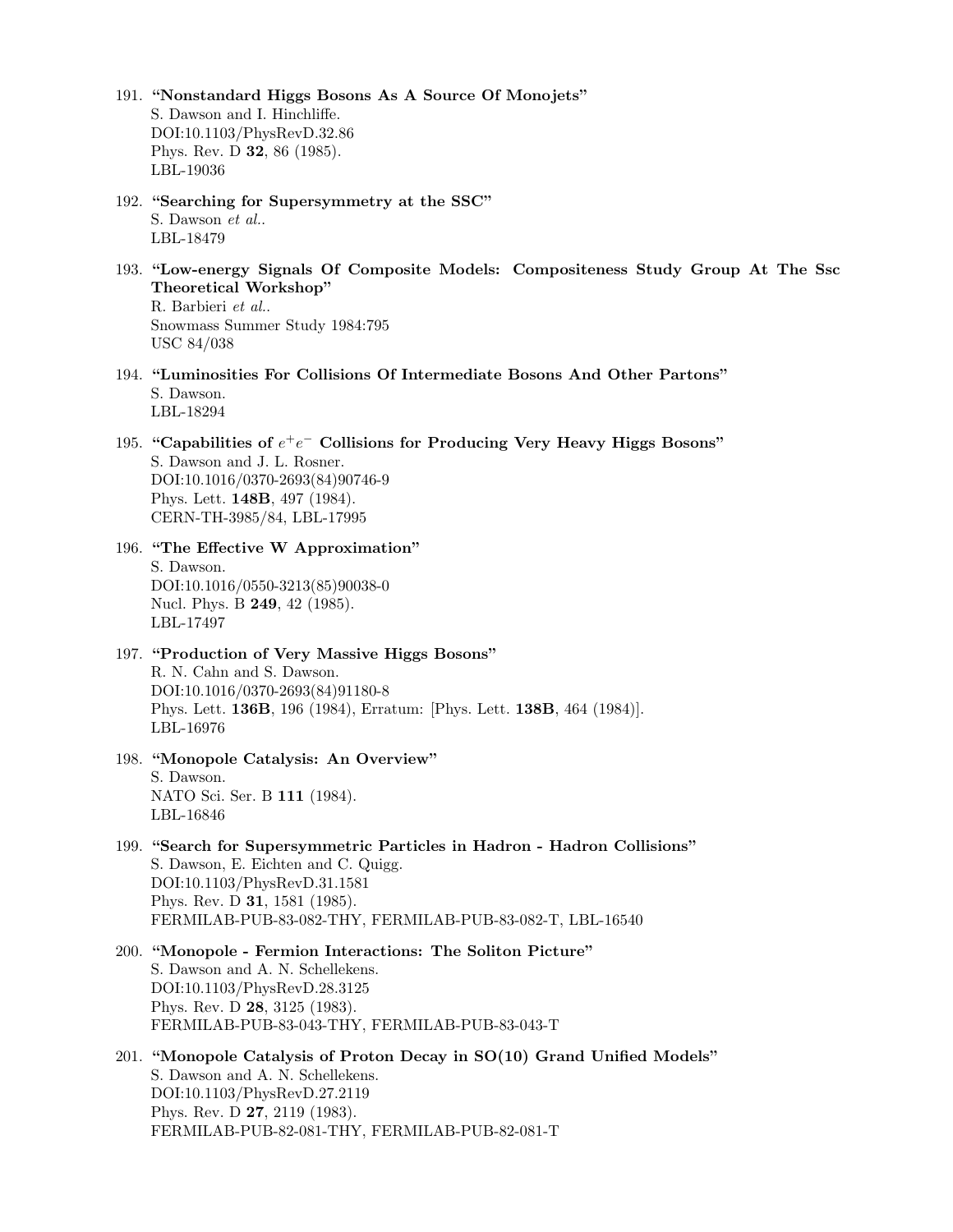- 191. "Nonstandard Higgs Bosons As A Source Of Monojets" S. Dawson and I. Hinchliffe. DOI:10.1103/PhysRevD.32.86 Phys. Rev. D 32, 86 (1985). LBL-19036
- 192. "Searching for Supersymmetry at the SSC" S. Dawson et al.. LBL-18479
- 193. "Low-energy Signals Of Composite Models: Compositeness Study Group At The Ssc Theoretical Workshop"

R. Barbieri et al.. Snowmass Summer Study 1984:795 USC 84/038

- 194. "Luminosities For Collisions Of Intermediate Bosons And Other Partons" S. Dawson. LBL-18294
- 195. "Capabilities of  $e^+e^-$  Collisions for Producing Very Heavy Higgs Bosons" S. Dawson and J. L. Rosner. DOI:10.1016/0370-2693(84)90746-9 Phys. Lett. 148B, 497 (1984). CERN-TH-3985/84, LBL-17995
- 196. "The Effective W Approximation" S. Dawson. DOI:10.1016/0550-3213(85)90038-0 Nucl. Phys. B 249, 42 (1985). LBL-17497
- 197. "Production of Very Massive Higgs Bosons" R. N. Cahn and S. Dawson. DOI:10.1016/0370-2693(84)91180-8 Phys. Lett. 136B, 196 (1984), Erratum: [Phys. Lett. 138B, 464 (1984)]. LBL-16976
- 198. "Monopole Catalysis: An Overview" S. Dawson. NATO Sci. Ser. B 111 (1984). LBL-16846
- 199. "Search for Supersymmetric Particles in Hadron Hadron Collisions" S. Dawson, E. Eichten and C. Quigg. DOI:10.1103/PhysRevD.31.1581 Phys. Rev. D 31, 1581 (1985). FERMILAB-PUB-83-082-THY, FERMILAB-PUB-83-082-T, LBL-16540
- 200. "Monopole Fermion Interactions: The Soliton Picture" S. Dawson and A. N. Schellekens. DOI:10.1103/PhysRevD.28.3125 Phys. Rev. D 28, 3125 (1983). FERMILAB-PUB-83-043-THY, FERMILAB-PUB-83-043-T
- 201. "Monopole Catalysis of Proton Decay in SO(10) Grand Unified Models" S. Dawson and A. N. Schellekens. DOI:10.1103/PhysRevD.27.2119 Phys. Rev. D 27, 2119 (1983). FERMILAB-PUB-82-081-THY, FERMILAB-PUB-82-081-T